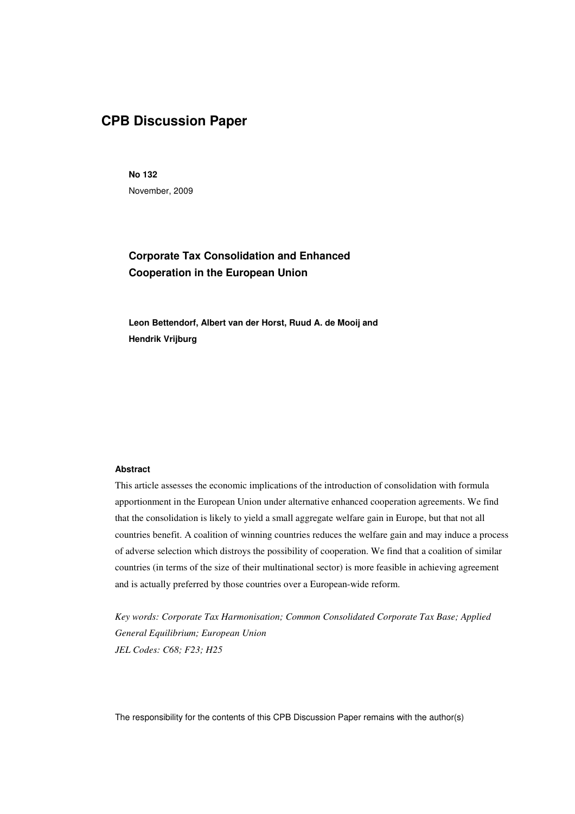# **CPB Discussion Paper**

**No 132**  November, 2009

## **Corporate Tax Consolidation and Enhanced Cooperation in the European Union**

**Leon Bettendorf, Albert van der Horst, Ruud A. de Mooij and Hendrik Vrijburg** 

#### **Abstract**

This article assesses the economic implications of the introduction of consolidation with formula apportionment in the European Union under alternative enhanced cooperation agreements. We find that the consolidation is likely to yield a small aggregate welfare gain in Europe, but that not all countries benefit. A coalition of winning countries reduces the welfare gain and may induce a process of adverse selection which distroys the possibility of cooperation. We find that a coalition of similar countries (in terms of the size of their multinational sector) is more feasible in achieving agreement and is actually preferred by those countries over a European-wide reform.

*Key words: Corporate Tax Harmonisation; Common Consolidated Corporate Tax Base; Applied General Equilibrium; European Union JEL Codes: C68; F23; H25* 

The responsibility for the contents of this CPB Discussion Paper remains with the author(s)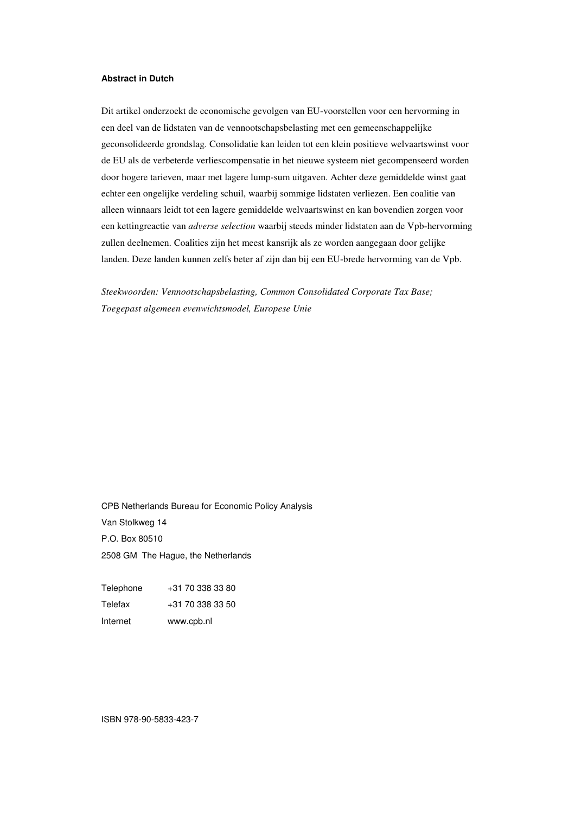#### **Abstract in Dutch**

Dit artikel onderzoekt de economische gevolgen van EU-voorstellen voor een hervorming in een deel van de lidstaten van de vennootschapsbelasting met een gemeenschappelijke geconsolideerde grondslag. Consolidatie kan leiden tot een klein positieve welvaartswinst voor de EU als de verbeterde verliescompensatie in het nieuwe systeem niet gecompenseerd worden door hogere tarieven, maar met lagere lump-sum uitgaven. Achter deze gemiddelde winst gaat echter een ongelijke verdeling schuil, waarbij sommige lidstaten verliezen. Een coalitie van alleen winnaars leidt tot een lagere gemiddelde welvaartswinst en kan bovendien zorgen voor een kettingreactie van *adverse selection* waarbij steeds minder lidstaten aan de Vpb-hervorming zullen deelnemen. Coalities zijn het meest kansrijk als ze worden aangegaan door gelijke landen. Deze landen kunnen zelfs beter af zijn dan bij een EU-brede hervorming van de Vpb.

*Steekwoorden: Vennootschapsbelasting, Common Consolidated Corporate Tax Base; Toegepast algemeen evenwichtsmodel, Europese Unie* 

CPB Netherlands Bureau for Economic Policy Analysis Van Stolkweg 14 P.O. Box 80510 2508 GM The Hague, the Netherlands

| +31 70 338 33 50 |
|------------------|
|                  |
| +31 70 338 33 80 |

ISBN 978-90-5833-423-7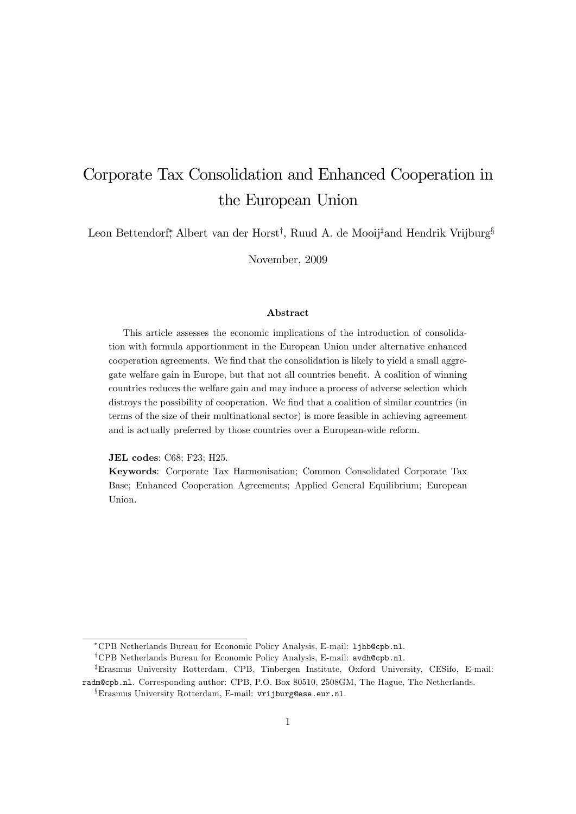# Corporate Tax Consolidation and Enhanced Cooperation in the European Union

Leon Bettendorf, Albert van der Horst<sup>†</sup>, Ruud A. de Mooij<sup>‡</sup>and Hendrik Vrijburg<sup>§</sup>

November, 2009

#### Abstract

This article assesses the economic implications of the introduction of consolidation with formula apportionment in the European Union under alternative enhanced cooperation agreements. We find that the consolidation is likely to yield a small aggregate welfare gain in Europe, but that not all countries benefit. A coalition of winning countries reduces the welfare gain and may induce a process of adverse selection which distroys the possibility of cooperation. We find that a coalition of similar countries (in terms of the size of their multinational sector) is more feasible in achieving agreement and is actually preferred by those countries over a European-wide reform.

JEL codes: C68; F23; H25.

Keywords: Corporate Tax Harmonisation; Common Consolidated Corporate Tax Base; Enhanced Cooperation Agreements; Applied General Equilibrium; European Union.

CPB Netherlands Bureau for Economic Policy Analysis, E-mail: ljhb@cpb.nl.

<sup>&</sup>lt;sup>†</sup>CPB Netherlands Bureau for Economic Policy Analysis, E-mail: avdh@cpb.nl.

<sup>&</sup>lt;sup>‡</sup>Erasmus University Rotterdam, CPB, Tinbergen Institute, Oxford University, CESifo, E-mail: radm@cpb.nl. Corresponding author: CPB, P.O. Box 80510, 2508GM, The Hague, The Netherlands. <sup>x</sup>Erasmus University Rotterdam, E-mail: vrijburg@ese.eur.nl.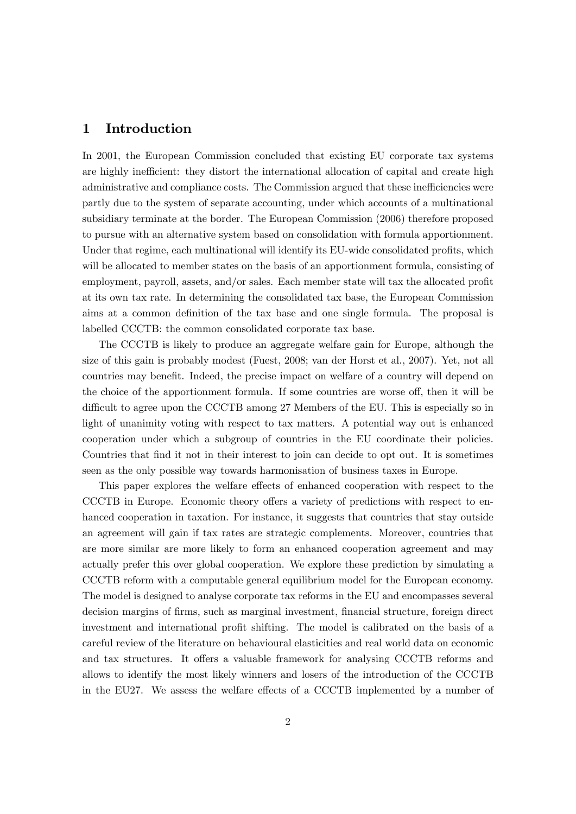### 1 Introduction

In 2001, the European Commission concluded that existing EU corporate tax systems are highly inefficient: they distort the international allocation of capital and create high administrative and compliance costs. The Commission argued that these inefficiencies were partly due to the system of separate accounting, under which accounts of a multinational subsidiary terminate at the border. The European Commission (2006) therefore proposed to pursue with an alternative system based on consolidation with formula apportionment. Under that regime, each multinational will identify its EU-wide consolidated profits, which will be allocated to member states on the basis of an apportionment formula, consisting of employment, payroll, assets, and/or sales. Each member state will tax the allocated profit at its own tax rate. In determining the consolidated tax base, the European Commission aims at a common definition of the tax base and one single formula. The proposal is labelled CCCTB: the common consolidated corporate tax base.

The CCCTB is likely to produce an aggregate welfare gain for Europe, although the size of this gain is probably modest (Fuest, 2008; van der Horst et al., 2007). Yet, not all countries may benefit. Indeed, the precise impact on welfare of a country will depend on the choice of the apportionment formula. If some countries are worse off, then it will be difficult to agree upon the CCCTB among 27 Members of the EU. This is especially so in light of unanimity voting with respect to tax matters. A potential way out is enhanced cooperation under which a subgroup of countries in the EU coordinate their policies. Countries that Önd it not in their interest to join can decide to opt out. It is sometimes seen as the only possible way towards harmonisation of business taxes in Europe.

This paper explores the welfare effects of enhanced cooperation with respect to the CCCTB in Europe. Economic theory offers a variety of predictions with respect to enhanced cooperation in taxation. For instance, it suggests that countries that stay outside an agreement will gain if tax rates are strategic complements. Moreover, countries that are more similar are more likely to form an enhanced cooperation agreement and may actually prefer this over global cooperation. We explore these prediction by simulating a CCCTB reform with a computable general equilibrium model for the European economy. The model is designed to analyse corporate tax reforms in the EU and encompasses several decision margins of firms, such as marginal investment, financial structure, foreign direct investment and international profit shifting. The model is calibrated on the basis of a careful review of the literature on behavioural elasticities and real world data on economic and tax structures. It offers a valuable framework for analysing CCCTB reforms and allows to identify the most likely winners and losers of the introduction of the CCCTB in the EU27. We assess the welfare effects of a CCCTB implemented by a number of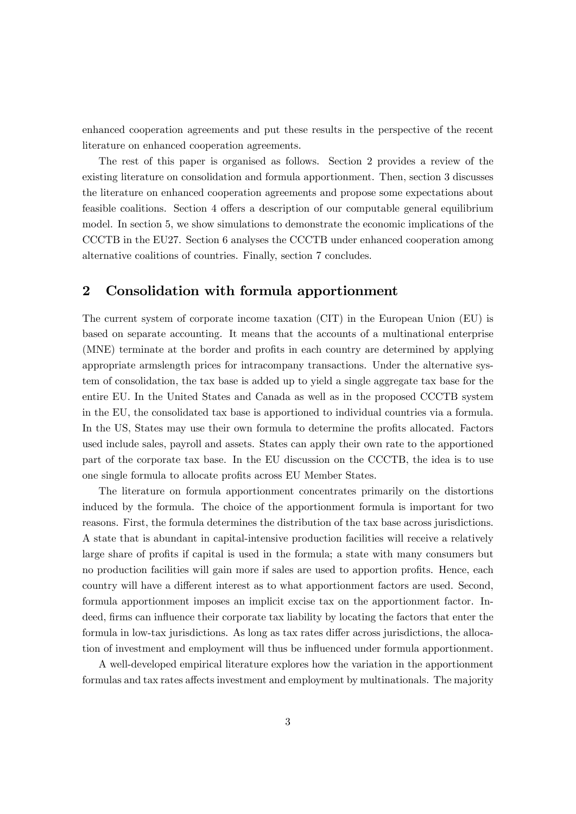enhanced cooperation agreements and put these results in the perspective of the recent literature on enhanced cooperation agreements.

The rest of this paper is organised as follows. Section 2 provides a review of the existing literature on consolidation and formula apportionment. Then, section 3 discusses the literature on enhanced cooperation agreements and propose some expectations about feasible coalitions. Section 4 offers a description of our computable general equilibrium model. In section 5, we show simulations to demonstrate the economic implications of the CCCTB in the EU27. Section 6 analyses the CCCTB under enhanced cooperation among alternative coalitions of countries. Finally, section 7 concludes.

## 2 Consolidation with formula apportionment

The current system of corporate income taxation (CIT) in the European Union (EU) is based on separate accounting. It means that the accounts of a multinational enterprise (MNE) terminate at the border and profits in each country are determined by applying appropriate armslength prices for intracompany transactions. Under the alternative system of consolidation, the tax base is added up to yield a single aggregate tax base for the entire EU. In the United States and Canada as well as in the proposed CCCTB system in the EU, the consolidated tax base is apportioned to individual countries via a formula. In the US, States may use their own formula to determine the profits allocated. Factors used include sales, payroll and assets. States can apply their own rate to the apportioned part of the corporate tax base. In the EU discussion on the CCCTB, the idea is to use one single formula to allocate profits across EU Member States.

The literature on formula apportionment concentrates primarily on the distortions induced by the formula. The choice of the apportionment formula is important for two reasons. First, the formula determines the distribution of the tax base across jurisdictions. A state that is abundant in capital-intensive production facilities will receive a relatively large share of profits if capital is used in the formula; a state with many consumers but no production facilities will gain more if sales are used to apportion profits. Hence, each country will have a different interest as to what apportionment factors are used. Second, formula apportionment imposes an implicit excise tax on the apportionment factor. Indeed, firms can influence their corporate tax liability by locating the factors that enter the formula in low-tax jurisdictions. As long as tax rates differ across jurisdictions, the allocation of investment and employment will thus be influenced under formula apportionment.

A well-developed empirical literature explores how the variation in the apportionment formulas and tax rates affects investment and employment by multinationals. The majority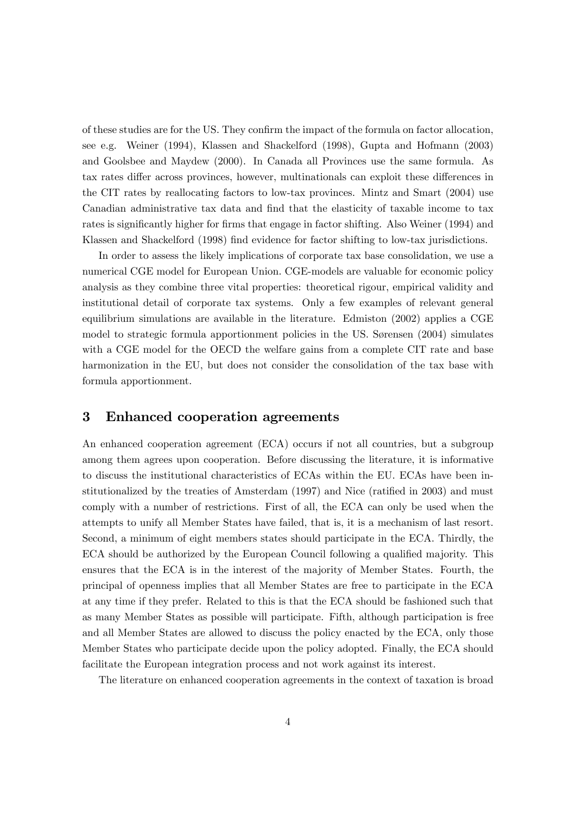of these studies are for the US. They confirm the impact of the formula on factor allocation, see e.g. Weiner (1994), Klassen and Shackelford (1998), Gupta and Hofmann (2003) and Goolsbee and Maydew (2000). In Canada all Provinces use the same formula. As tax rates differ across provinces, however, multinationals can exploit these differences in the CIT rates by reallocating factors to low-tax provinces. Mintz and Smart (2004) use Canadian administrative tax data and find that the elasticity of taxable income to tax rates is significantly higher for firms that engage in factor shifting. Also Weiner (1994) and Klassen and Shackelford (1998) find evidence for factor shifting to low-tax jurisdictions.

In order to assess the likely implications of corporate tax base consolidation, we use a numerical CGE model for European Union. CGE-models are valuable for economic policy analysis as they combine three vital properties: theoretical rigour, empirical validity and institutional detail of corporate tax systems. Only a few examples of relevant general equilibrium simulations are available in the literature. Edmiston (2002) applies a CGE model to strategic formula apportionment policies in the US. Sørensen  $(2004)$  simulates with a CGE model for the OECD the welfare gains from a complete CIT rate and base harmonization in the EU, but does not consider the consolidation of the tax base with formula apportionment.

## 3 Enhanced cooperation agreements

An enhanced cooperation agreement (ECA) occurs if not all countries, but a subgroup among them agrees upon cooperation. Before discussing the literature, it is informative to discuss the institutional characteristics of ECAs within the EU. ECAs have been institutionalized by the treaties of Amsterdam  $(1997)$  and Nice (ratified in 2003) and must comply with a number of restrictions. First of all, the ECA can only be used when the attempts to unify all Member States have failed, that is, it is a mechanism of last resort. Second, a minimum of eight members states should participate in the ECA. Thirdly, the ECA should be authorized by the European Council following a qualified majority. This ensures that the ECA is in the interest of the majority of Member States. Fourth, the principal of openness implies that all Member States are free to participate in the ECA at any time if they prefer. Related to this is that the ECA should be fashioned such that as many Member States as possible will participate. Fifth, although participation is free and all Member States are allowed to discuss the policy enacted by the ECA, only those Member States who participate decide upon the policy adopted. Finally, the ECA should facilitate the European integration process and not work against its interest.

The literature on enhanced cooperation agreements in the context of taxation is broad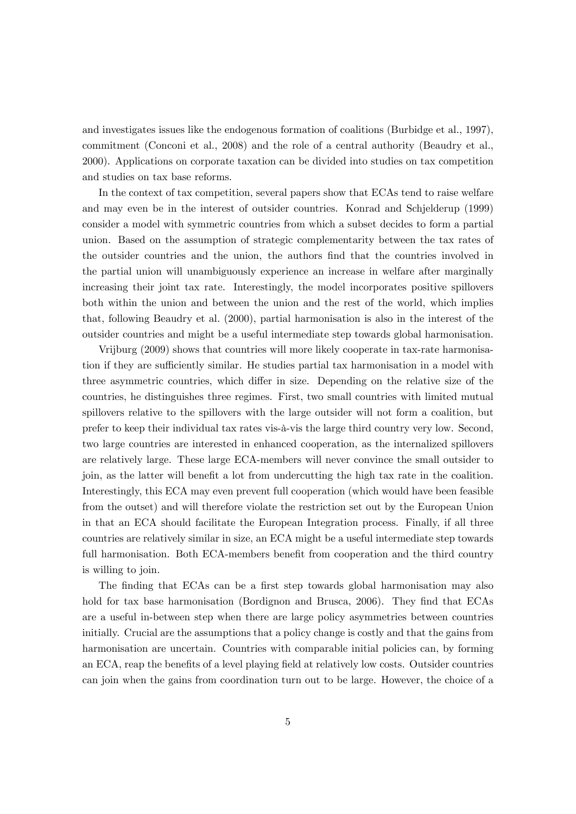and investigates issues like the endogenous formation of coalitions (Burbidge et al., 1997), commitment (Conconi et al., 2008) and the role of a central authority (Beaudry et al., 2000). Applications on corporate taxation can be divided into studies on tax competition and studies on tax base reforms.

In the context of tax competition, several papers show that ECAs tend to raise welfare and may even be in the interest of outsider countries. Konrad and Schjelderup (1999) consider a model with symmetric countries from which a subset decides to form a partial union. Based on the assumption of strategic complementarity between the tax rates of the outsider countries and the union, the authors Önd that the countries involved in the partial union will unambiguously experience an increase in welfare after marginally increasing their joint tax rate. Interestingly, the model incorporates positive spillovers both within the union and between the union and the rest of the world, which implies that, following Beaudry et al. (2000), partial harmonisation is also in the interest of the outsider countries and might be a useful intermediate step towards global harmonisation.

Vrijburg (2009) shows that countries will more likely cooperate in tax-rate harmonisation if they are sufficiently similar. He studies partial tax harmonisation in a model with three asymmetric countries, which differ in size. Depending on the relative size of the countries, he distinguishes three regimes. First, two small countries with limited mutual spillovers relative to the spillovers with the large outsider will not form a coalition, but prefer to keep their individual tax rates vis-‡-vis the large third country very low. Second, two large countries are interested in enhanced cooperation, as the internalized spillovers are relatively large. These large ECA-members will never convince the small outsider to join, as the latter will benefit a lot from undercutting the high tax rate in the coalition. Interestingly, this ECA may even prevent full cooperation (which would have been feasible from the outset) and will therefore violate the restriction set out by the European Union in that an ECA should facilitate the European Integration process. Finally, if all three countries are relatively similar in size, an ECA might be a useful intermediate step towards full harmonisation. Both ECA-members benefit from cooperation and the third country is willing to join.

The finding that ECAs can be a first step towards global harmonisation may also hold for tax base harmonisation (Bordignon and Brusca, 2006). They find that ECAs are a useful in-between step when there are large policy asymmetries between countries initially. Crucial are the assumptions that a policy change is costly and that the gains from harmonisation are uncertain. Countries with comparable initial policies can, by forming an ECA, reap the benefits of a level playing field at relatively low costs. Outsider countries can join when the gains from coordination turn out to be large. However, the choice of a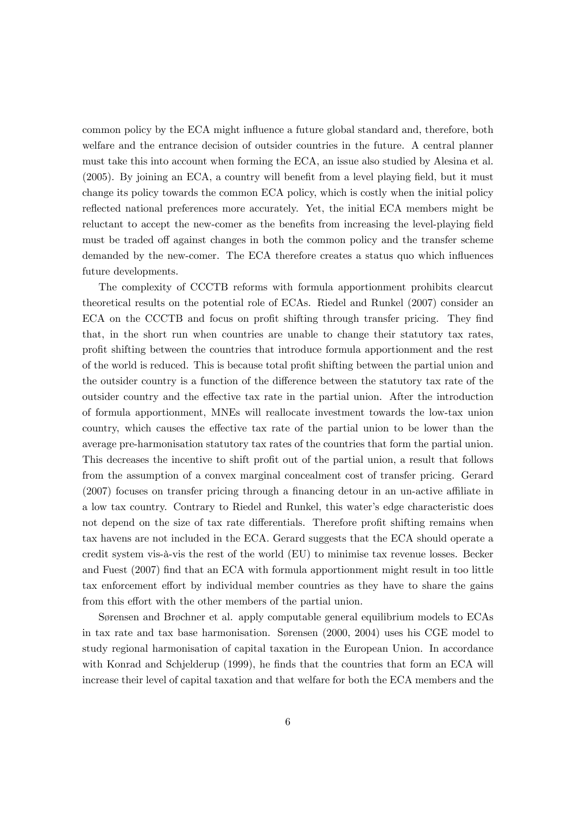common policy by the ECA might influence a future global standard and, therefore, both welfare and the entrance decision of outsider countries in the future. A central planner must take this into account when forming the ECA, an issue also studied by Alesina et al.  $(2005)$ . By joining an ECA, a country will benefit from a level playing field, but it must change its policy towards the common ECA policy, which is costly when the initial policy reflected national preferences more accurately. Yet, the initial ECA members might be reluctant to accept the new-comer as the benefits from increasing the level-playing field must be traded off against changes in both the common policy and the transfer scheme demanded by the new-comer. The ECA therefore creates a status quo which influences future developments.

The complexity of CCCTB reforms with formula apportionment prohibits clearcut theoretical results on the potential role of ECAs. Riedel and Runkel (2007) consider an ECA on the CCCTB and focus on profit shifting through transfer pricing. They find that, in the short run when countries are unable to change their statutory tax rates, proÖt shifting between the countries that introduce formula apportionment and the rest of the world is reduced. This is because total profit shifting between the partial union and the outsider country is a function of the difference between the statutory tax rate of the outsider country and the effective tax rate in the partial union. After the introduction of formula apportionment, MNEs will reallocate investment towards the low-tax union country, which causes the effective tax rate of the partial union to be lower than the average pre-harmonisation statutory tax rates of the countries that form the partial union. This decreases the incentive to shift profit out of the partial union, a result that follows from the assumption of a convex marginal concealment cost of transfer pricing. Gerard  $(2007)$  focuses on transfer pricing through a financing detour in an un-active affiliate in a low tax country. Contrary to Riedel and Runkel, this water's edge characteristic does not depend on the size of tax rate differentials. Therefore profit shifting remains when tax havens are not included in the ECA. Gerard suggests that the ECA should operate a credit system vis-à-vis the rest of the world (EU) to minimise tax revenue losses. Becker and Fuest (2007) Önd that an ECA with formula apportionment might result in too little tax enforcement effort by individual member countries as they have to share the gains from this effort with the other members of the partial union.

Sørensen and Brøchner et al. apply computable general equilibrium models to ECAs in tax rate and tax base harmonisation. Sørensen  $(2000, 2004)$  uses his CGE model to study regional harmonisation of capital taxation in the European Union. In accordance with Konrad and Schjelderup (1999), he finds that the countries that form an ECA will increase their level of capital taxation and that welfare for both the ECA members and the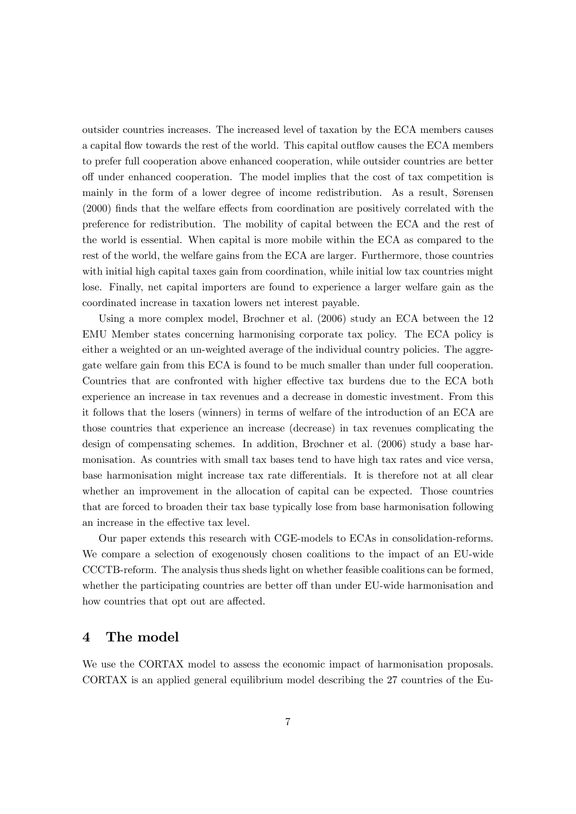outsider countries increases. The increased level of taxation by the ECA members causes a capital flow towards the rest of the world. This capital outflow causes the ECA members to prefer full cooperation above enhanced cooperation, while outsider countries are better o§ under enhanced cooperation. The model implies that the cost of tax competition is mainly in the form of a lower degree of income redistribution. As a result, Sorensen  $(2000)$  finds that the welfare effects from coordination are positively correlated with the preference for redistribution. The mobility of capital between the ECA and the rest of the world is essential. When capital is more mobile within the ECA as compared to the rest of the world, the welfare gains from the ECA are larger. Furthermore, those countries with initial high capital taxes gain from coordination, while initial low tax countries might lose. Finally, net capital importers are found to experience a larger welfare gain as the coordinated increase in taxation lowers net interest payable.

Using a more complex model, Brøchner et al.  $(2006)$  study an ECA between the 12 EMU Member states concerning harmonising corporate tax policy. The ECA policy is either a weighted or an un-weighted average of the individual country policies. The aggregate welfare gain from this ECA is found to be much smaller than under full cooperation. Countries that are confronted with higher effective tax burdens due to the ECA both experience an increase in tax revenues and a decrease in domestic investment. From this it follows that the losers (winners) in terms of welfare of the introduction of an ECA are those countries that experience an increase (decrease) in tax revenues complicating the design of compensating schemes. In addition, Brøchner et al. (2006) study a base harmonisation. As countries with small tax bases tend to have high tax rates and vice versa, base harmonisation might increase tax rate differentials. It is therefore not at all clear whether an improvement in the allocation of capital can be expected. Those countries that are forced to broaden their tax base typically lose from base harmonisation following an increase in the effective tax level.

Our paper extends this research with CGE-models to ECAs in consolidation-reforms. We compare a selection of exogenously chosen coalitions to the impact of an EU-wide CCCTB-reform. The analysis thus sheds light on whether feasible coalitions can be formed, whether the participating countries are better off than under EU-wide harmonisation and how countries that opt out are affected.

## 4 The model

We use the CORTAX model to assess the economic impact of harmonisation proposals. CORTAX is an applied general equilibrium model describing the 27 countries of the Eu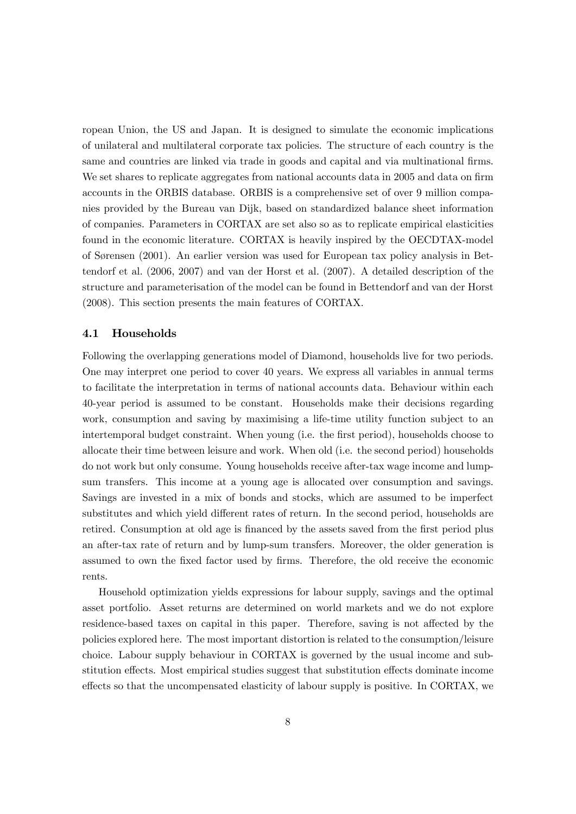ropean Union, the US and Japan. It is designed to simulate the economic implications of unilateral and multilateral corporate tax policies. The structure of each country is the same and countries are linked via trade in goods and capital and via multinational firms. We set shares to replicate aggregates from national accounts data in 2005 and data on firm accounts in the ORBIS database. ORBIS is a comprehensive set of over 9 million companies provided by the Bureau van Dijk, based on standardized balance sheet information of companies. Parameters in CORTAX are set also so as to replicate empirical elasticities found in the economic literature. CORTAX is heavily inspired by the OECDTAX-model of Sørensen (2001). An earlier version was used for European tax policy analysis in Bettendorf et al. (2006, 2007) and van der Horst et al. (2007). A detailed description of the structure and parameterisation of the model can be found in Bettendorf and van der Horst (2008). This section presents the main features of CORTAX.

#### 4.1 Households

Following the overlapping generations model of Diamond, households live for two periods. One may interpret one period to cover 40 years. We express all variables in annual terms to facilitate the interpretation in terms of national accounts data. Behaviour within each 40-year period is assumed to be constant. Households make their decisions regarding work, consumption and saving by maximising a life-time utility function subject to an intertemporal budget constraint. When young (i.e. the first period), households choose to allocate their time between leisure and work. When old (i.e. the second period) households do not work but only consume. Young households receive after-tax wage income and lumpsum transfers. This income at a young age is allocated over consumption and savings. Savings are invested in a mix of bonds and stocks, which are assumed to be imperfect substitutes and which yield different rates of return. In the second period, households are retired. Consumption at old age is financed by the assets saved from the first period plus an after-tax rate of return and by lump-sum transfers. Moreover, the older generation is assumed to own the fixed factor used by firms. Therefore, the old receive the economic rents.

Household optimization yields expressions for labour supply, savings and the optimal asset portfolio. Asset returns are determined on world markets and we do not explore residence-based taxes on capital in this paper. Therefore, saving is not affected by the policies explored here. The most important distortion is related to the consumption/leisure choice. Labour supply behaviour in CORTAX is governed by the usual income and substitution effects. Most empirical studies suggest that substitution effects dominate income effects so that the uncompensated elasticity of labour supply is positive. In CORTAX, we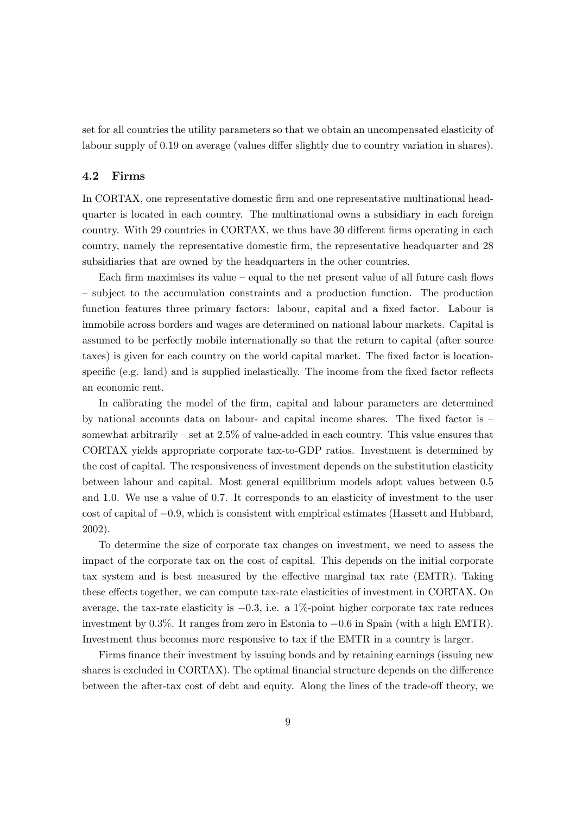set for all countries the utility parameters so that we obtain an uncompensated elasticity of labour supply of 0.19 on average (values differ slightly due to country variation in shares).

#### 4.2 Firms

In CORTAX, one representative domestic Örm and one representative multinational headquarter is located in each country. The multinational owns a subsidiary in each foreign country. With 29 countries in CORTAX, we thus have 30 different firms operating in each country, namely the representative domestic Örm, the representative headquarter and 28 subsidiaries that are owned by the headquarters in the other countries.

Each firm maximises its value  $-$  equal to the net present value of all future cash flows – subject to the accumulation constraints and a production function. The production function features three primary factors: labour, capital and a fixed factor. Labour is immobile across borders and wages are determined on national labour markets. Capital is assumed to be perfectly mobile internationally so that the return to capital (after source taxes) is given for each country on the world capital market. The fixed factor is locationspecific (e.g. land) and is supplied inelastically. The income from the fixed factor reflects an economic rent.

In calibrating the model of the firm, capital and labour parameters are determined by national accounts data on labour- and capital income shares. The fixed factor is  $$ somewhat arbitrarily  $-\text{ set at } 2.5\%$  of value-added in each country. This value ensures that CORTAX yields appropriate corporate tax-to-GDP ratios. Investment is determined by the cost of capital. The responsiveness of investment depends on the substitution elasticity between labour and capital. Most general equilibrium models adopt values between 0.5 and 1.0. We use a value of 0.7. It corresponds to an elasticity of investment to the user  $\cot$  of capital of  $-0.9$ , which is consistent with empirical estimates (Hassett and Hubbard, 2002).

To determine the size of corporate tax changes on investment, we need to assess the impact of the corporate tax on the cost of capital. This depends on the initial corporate tax system and is best measured by the effective marginal tax rate (EMTR). Taking these effects together, we can compute tax-rate elasticities of investment in CORTAX. On average, the tax-rate elasticity is  $-0.3$ , i.e. a 1%-point higher corporate tax rate reduces investment by  $0.3\%$ . It ranges from zero in Estonia to  $-0.6$  in Spain (with a high EMTR). Investment thus becomes more responsive to tax if the EMTR in a country is larger.

Firms finance their investment by issuing bonds and by retaining earnings (issuing new shares is excluded in CORTAX). The optimal financial structure depends on the difference between the after-tax cost of debt and equity. Along the lines of the trade-off theory, we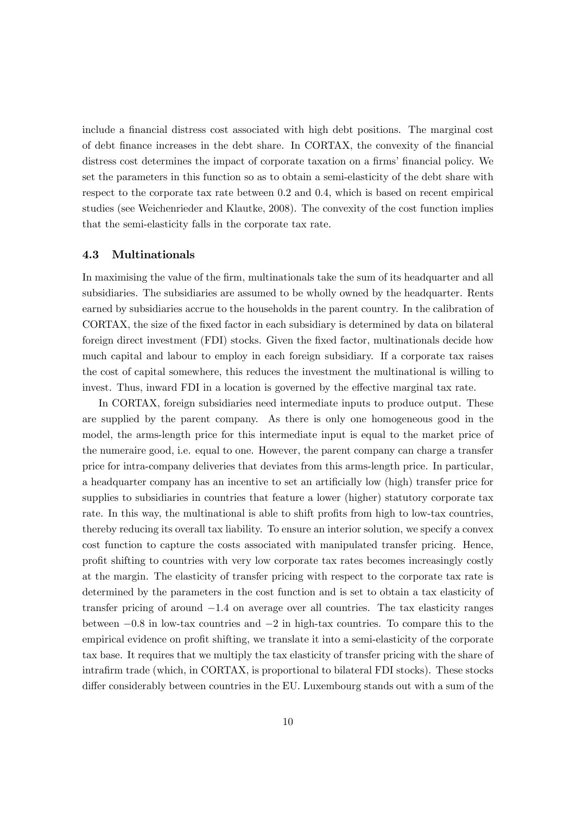include a financial distress cost associated with high debt positions. The marginal cost of debt Önance increases in the debt share. In CORTAX, the convexity of the Önancial distress cost determines the impact of corporate taxation on a firms' financial policy. We set the parameters in this function so as to obtain a semi-elasticity of the debt share with respect to the corporate tax rate between 0.2 and 0.4, which is based on recent empirical studies (see Weichenrieder and Klautke, 2008). The convexity of the cost function implies that the semi-elasticity falls in the corporate tax rate.

#### 4.3 Multinationals

In maximising the value of the firm, multinationals take the sum of its headquarter and all subsidiaries. The subsidiaries are assumed to be wholly owned by the headquarter. Rents earned by subsidiaries accrue to the households in the parent country. In the calibration of CORTAX, the size of the fixed factor in each subsidiary is determined by data on bilateral foreign direct investment (FDI) stocks. Given the fixed factor, multinationals decide how much capital and labour to employ in each foreign subsidiary. If a corporate tax raises the cost of capital somewhere, this reduces the investment the multinational is willing to invest. Thus, inward FDI in a location is governed by the effective marginal tax rate.

In CORTAX, foreign subsidiaries need intermediate inputs to produce output. These are supplied by the parent company. As there is only one homogeneous good in the model, the arms-length price for this intermediate input is equal to the market price of the numeraire good, i.e. equal to one. However, the parent company can charge a transfer price for intra-company deliveries that deviates from this arms-length price. In particular, a headquarter company has an incentive to set an artificially low (high) transfer price for supplies to subsidiaries in countries that feature a lower (higher) statutory corporate tax rate. In this way, the multinational is able to shift profits from high to low-tax countries, thereby reducing its overall tax liability. To ensure an interior solution, we specify a convex cost function to capture the costs associated with manipulated transfer pricing. Hence, profit shifting to countries with very low corporate tax rates becomes increasingly costly at the margin. The elasticity of transfer pricing with respect to the corporate tax rate is determined by the parameters in the cost function and is set to obtain a tax elasticity of transfer pricing of around  $-1.4$  on average over all countries. The tax elasticity ranges between  $-0.8$  in low-tax countries and  $-2$  in high-tax countries. To compare this to the empirical evidence on profit shifting, we translate it into a semi-elasticity of the corporate tax base. It requires that we multiply the tax elasticity of transfer pricing with the share of intrafirm trade (which, in CORTAX, is proportional to bilateral FDI stocks). These stocks differ considerably between countries in the EU. Luxembourg stands out with a sum of the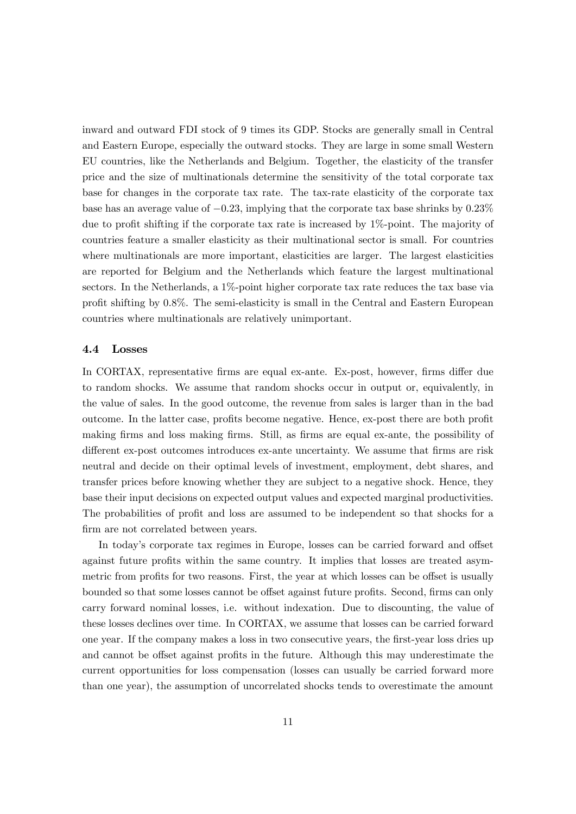inward and outward FDI stock of 9 times its GDP. Stocks are generally small in Central and Eastern Europe, especially the outward stocks. They are large in some small Western EU countries, like the Netherlands and Belgium. Together, the elasticity of the transfer price and the size of multinationals determine the sensitivity of the total corporate tax base for changes in the corporate tax rate. The tax-rate elasticity of the corporate tax base has an average value of  $-0.23$ , implying that the corporate tax base shrinks by  $0.23\%$ due to profit shifting if the corporate tax rate is increased by  $1\%$ -point. The majority of countries feature a smaller elasticity as their multinational sector is small. For countries where multinationals are more important, elasticities are larger. The largest elasticities are reported for Belgium and the Netherlands which feature the largest multinational sectors. In the Netherlands, a 1%-point higher corporate tax rate reduces the tax base via profit shifting by 0.8%. The semi-elasticity is small in the Central and Eastern European countries where multinationals are relatively unimportant.

#### 4.4 Losses

In CORTAX, representative firms are equal ex-ante. Ex-post, however, firms differ due to random shocks. We assume that random shocks occur in output or, equivalently, in the value of sales. In the good outcome, the revenue from sales is larger than in the bad outcome. In the latter case, profits become negative. Hence, ex-post there are both profit making firms and loss making firms. Still, as firms are equal ex-ante, the possibility of different ex-post outcomes introduces ex-ante uncertainty. We assume that firms are risk neutral and decide on their optimal levels of investment, employment, debt shares, and transfer prices before knowing whether they are subject to a negative shock. Hence, they base their input decisions on expected output values and expected marginal productivities. The probabilities of profit and loss are assumed to be independent so that shocks for a firm are not correlated between years.

In today's corporate tax regimes in Europe, losses can be carried forward and offset against future profits within the same country. It implies that losses are treated asymmetric from profits for two reasons. First, the year at which losses can be offset is usually bounded so that some losses cannot be offset against future profits. Second, firms can only carry forward nominal losses, i.e. without indexation. Due to discounting, the value of these losses declines over time. In CORTAX, we assume that losses can be carried forward one year. If the company makes a loss in two consecutive years, the first-year loss dries up and cannot be offset against profits in the future. Although this may underestimate the current opportunities for loss compensation (losses can usually be carried forward more than one year), the assumption of uncorrelated shocks tends to overestimate the amount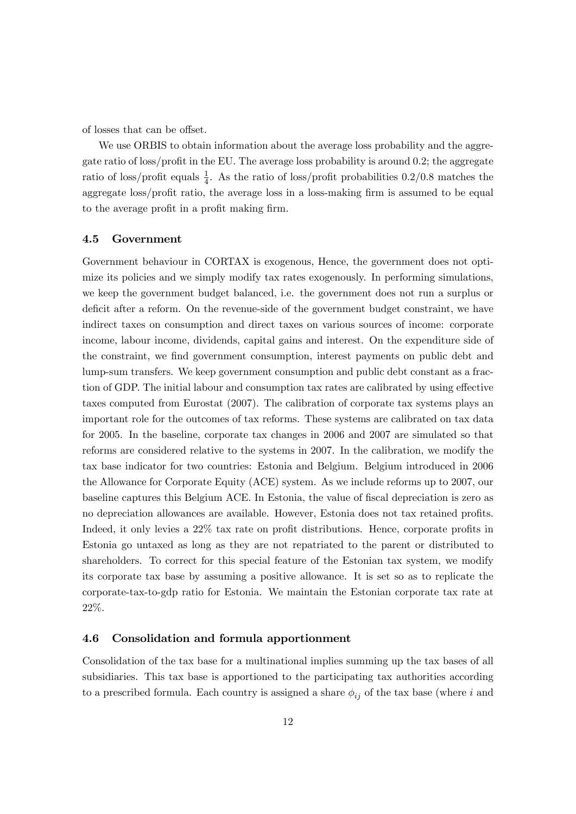of losses that can be offset.

We use ORBIS to obtain information about the average loss probability and the aggregate ratio of loss/profit in the EU. The average loss probability is around  $0.2$ ; the aggregate ratio of loss/profit equals  $\frac{1}{4}$ . As the ratio of loss/profit probabilities 0.2/0.8 matches the aggregate loss/profit ratio, the average loss in a loss-making firm is assumed to be equal to the average profit in a profit making firm.

#### 4.5 Government

Government behaviour in CORTAX is exogenous, Hence, the government does not optimize its policies and we simply modify tax rates exogenously. In performing simulations, we keep the government budget balanced, i.e. the government does not run a surplus or deficit after a reform. On the revenue-side of the government budget constraint, we have indirect taxes on consumption and direct taxes on various sources of income: corporate income, labour income, dividends, capital gains and interest. On the expenditure side of the constraint, we find government consumption, interest payments on public debt and lump-sum transfers. We keep government consumption and public debt constant as a fraction of GDP. The initial labour and consumption tax rates are calibrated by using effective taxes computed from Eurostat (2007). The calibration of corporate tax systems plays an important role for the outcomes of tax reforms. These systems are calibrated on tax data for 2005. In the baseline, corporate tax changes in 2006 and 2007 are simulated so that reforms are considered relative to the systems in 2007. In the calibration, we modify the tax base indicator for two countries: Estonia and Belgium. Belgium introduced in 2006 the Allowance for Corporate Equity (ACE) system. As we include reforms up to 2007, our baseline captures this Belgium ACE. In Estonia, the value of fiscal depreciation is zero as no depreciation allowances are available. However, Estonia does not tax retained profits. Indeed, it only levies a  $22\%$  tax rate on profit distributions. Hence, corporate profits in Estonia go untaxed as long as they are not repatriated to the parent or distributed to shareholders. To correct for this special feature of the Estonian tax system, we modify its corporate tax base by assuming a positive allowance. It is set so as to replicate the corporate-tax-to-gdp ratio for Estonia. We maintain the Estonian corporate tax rate at 22%.

#### 4.6 Consolidation and formula apportionment

Consolidation of the tax base for a multinational implies summing up the tax bases of all subsidiaries. This tax base is apportioned to the participating tax authorities according to a prescribed formula. Each country is assigned a share  $\phi_{ij}$  of the tax base (where i and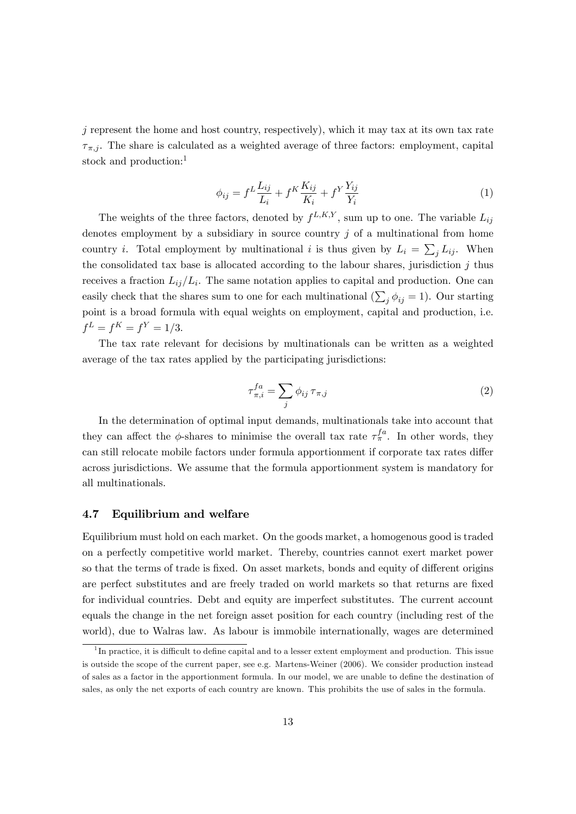$j$  represent the home and host country, respectively), which it may tax at its own tax rate  $\tau_{\pi,i}$ . The share is calculated as a weighted average of three factors: employment, capital stock and production:<sup>1</sup>

$$
\phi_{ij} = f^L \frac{L_{ij}}{L_i} + f^K \frac{K_{ij}}{K_i} + f^Y \frac{Y_{ij}}{Y_i}
$$
\n(1)

The weights of the three factors, denoted by  $f^{L,K,Y}$ , sum up to one. The variable  $L_{ij}$ denotes employment by a subsidiary in source country  $j$  of a multinational from home country *i*. Total employment by multinational *i* is thus given by  $L_i = \sum_j L_{ij}$ . When the consolidated tax base is allocated according to the labour shares, jurisdiction  $j$  thus receives a fraction  $L_{ij}/L_i$ . The same notation applies to capital and production. One can easily check that the shares sum to one for each multinational  $(\sum_j \phi_{ij} = 1)$ . Our starting point is a broad formula with equal weights on employment, capital and production, i.e.  $f^L = f^K = f^Y = 1/3.$ 

The tax rate relevant for decisions by multinationals can be written as a weighted average of the tax rates applied by the participating jurisdictions:

$$
\tau_{\pi,i}^{fa} = \sum_j \phi_{ij} \,\tau_{\pi,j} \tag{2}
$$

In the determination of optimal input demands, multinationals take into account that they can affect the  $\phi$ -shares to minimise the overall tax rate  $\tau_{\pi}^{fa}$ . In other words, they can still relocate mobile factors under formula apportionment if corporate tax rates differ across jurisdictions. We assume that the formula apportionment system is mandatory for all multinationals.

#### 4.7 Equilibrium and welfare

Equilibrium must hold on each market. On the goods market, a homogenous good is traded on a perfectly competitive world market. Thereby, countries cannot exert market power so that the terms of trade is fixed. On asset markets, bonds and equity of different origins are perfect substitutes and are freely traded on world markets so that returns are fixed for individual countries. Debt and equity are imperfect substitutes. The current account equals the change in the net foreign asset position for each country (including rest of the world), due to Walras law. As labour is immobile internationally, wages are determined

<sup>&</sup>lt;sup>1</sup>In practice, it is difficult to define capital and to a lesser extent employment and production. This issue is outside the scope of the current paper, see e.g. Martens-Weiner (2006). We consider production instead of sales as a factor in the apportionment formula. In our model, we are unable to define the destination of sales, as only the net exports of each country are known. This prohibits the use of sales in the formula.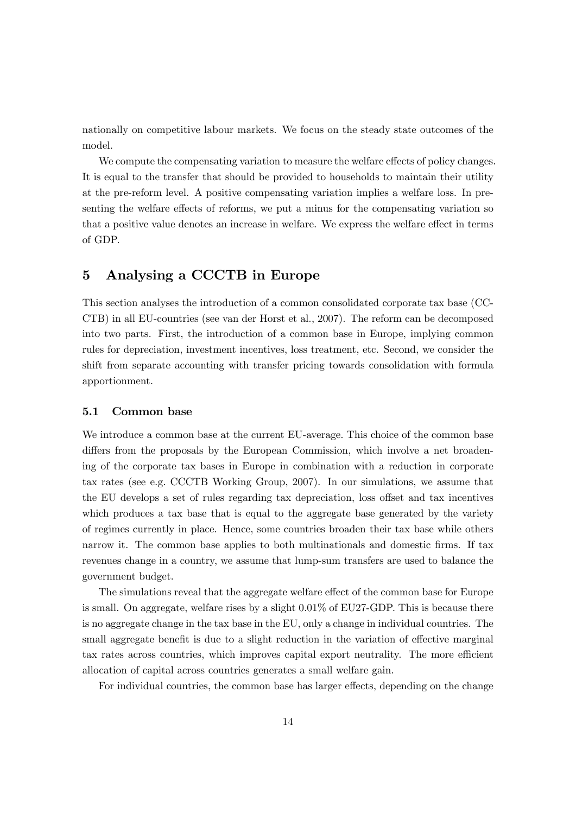nationally on competitive labour markets. We focus on the steady state outcomes of the model.

We compute the compensating variation to measure the welfare effects of policy changes. It is equal to the transfer that should be provided to households to maintain their utility at the pre-reform level. A positive compensating variation implies a welfare loss. In presenting the welfare effects of reforms, we put a minus for the compensating variation so that a positive value denotes an increase in welfare. We express the welfare effect in terms of GDP.

## 5 Analysing a CCCTB in Europe

This section analyses the introduction of a common consolidated corporate tax base (CC-CTB) in all EU-countries (see van der Horst et al., 2007). The reform can be decomposed into two parts. First, the introduction of a common base in Europe, implying common rules for depreciation, investment incentives, loss treatment, etc. Second, we consider the shift from separate accounting with transfer pricing towards consolidation with formula apportionment.

#### 5.1 Common base

We introduce a common base at the current EU-average. This choice of the common base differs from the proposals by the European Commission, which involve a net broadening of the corporate tax bases in Europe in combination with a reduction in corporate tax rates (see e.g. CCCTB Working Group, 2007). In our simulations, we assume that the EU develops a set of rules regarding tax depreciation, loss offset and tax incentives which produces a tax base that is equal to the aggregate base generated by the variety of regimes currently in place. Hence, some countries broaden their tax base while others narrow it. The common base applies to both multinationals and domestic firms. If tax revenues change in a country, we assume that lump-sum transfers are used to balance the government budget.

The simulations reveal that the aggregate welfare effect of the common base for Europe is small. On aggregate, welfare rises by a slight 0:01% of EU27-GDP. This is because there is no aggregate change in the tax base in the EU, only a change in individual countries. The small aggregate benefit is due to a slight reduction in the variation of effective marginal tax rates across countries, which improves capital export neutrality. The more efficient allocation of capital across countries generates a small welfare gain.

For individual countries, the common base has larger effects, depending on the change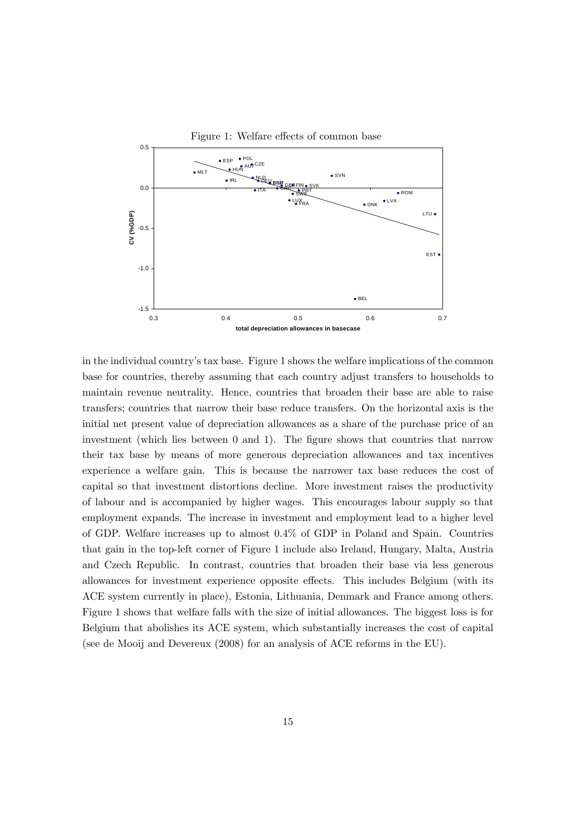

in the individual countryís tax base. Figure 1 shows the welfare implications of the common base for countries, thereby assuming that each country adjust transfers to households to maintain revenue neutrality. Hence, countries that broaden their base are able to raise transfers; countries that narrow their base reduce transfers. On the horizontal axis is the initial net present value of depreciation allowances as a share of the purchase price of an investment (which lies between 0 and 1). The figure shows that countries that narrow their tax base by means of more generous depreciation allowances and tax incentives experience a welfare gain. This is because the narrower tax base reduces the cost of capital so that investment distortions decline. More investment raises the productivity of labour and is accompanied by higher wages. This encourages labour supply so that employment expands. The increase in investment and employment lead to a higher level of GDP. Welfare increases up to almost 0:4% of GDP in Poland and Spain. Countries that gain in the top-left corner of Figure 1 include also Ireland, Hungary, Malta, Austria and Czech Republic. In contrast, countries that broaden their base via less generous allowances for investment experience opposite effects. This includes Belgium (with its ACE system currently in place), Estonia, Lithuania, Denmark and France among others. Figure 1 shows that welfare falls with the size of initial allowances. The biggest loss is for Belgium that abolishes its ACE system, which substantially increases the cost of capital (see de Mooij and Devereux (2008) for an analysis of ACE reforms in the EU).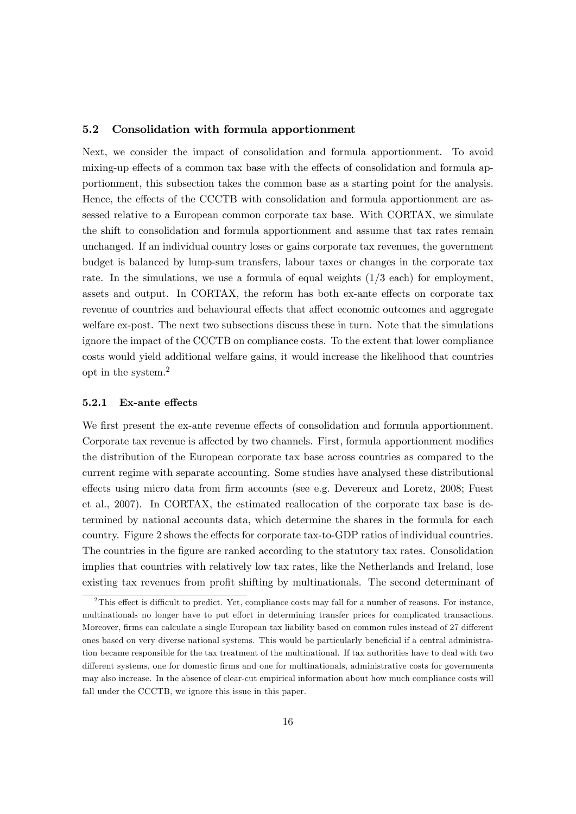#### 5.2 Consolidation with formula apportionment

Next, we consider the impact of consolidation and formula apportionment. To avoid mixing-up effects of a common tax base with the effects of consolidation and formula apportionment, this subsection takes the common base as a starting point for the analysis. Hence, the effects of the CCCTB with consolidation and formula apportionment are assessed relative to a European common corporate tax base. With CORTAX, we simulate the shift to consolidation and formula apportionment and assume that tax rates remain unchanged. If an individual country loses or gains corporate tax revenues, the government budget is balanced by lump-sum transfers, labour taxes or changes in the corporate tax rate. In the simulations, we use a formula of equal weights  $(1/3 \text{ each})$  for employment, assets and output. In CORTAX, the reform has both ex-ante effects on corporate tax revenue of countries and behavioural effects that affect economic outcomes and aggregate welfare ex-post. The next two subsections discuss these in turn. Note that the simulations ignore the impact of the CCCTB on compliance costs. To the extent that lower compliance costs would yield additional welfare gains, it would increase the likelihood that countries opt in the system.<sup>2</sup>

#### 5.2.1 Ex-ante effects

We first present the ex-ante revenue effects of consolidation and formula apportionment. Corporate tax revenue is affected by two channels. First, formula apportionment modifies the distribution of the European corporate tax base across countries as compared to the current regime with separate accounting. Some studies have analysed these distributional effects using micro data from firm accounts (see e.g. Devereux and Loretz, 2008; Fuest et al., 2007). In CORTAX, the estimated reallocation of the corporate tax base is determined by national accounts data, which determine the shares in the formula for each country. Figure 2 shows the effects for corporate tax-to-GDP ratios of individual countries. The countries in the figure are ranked according to the statutory tax rates. Consolidation implies that countries with relatively low tax rates, like the Netherlands and Ireland, lose existing tax revenues from profit shifting by multinationals. The second determinant of

 $2$ This effect is difficult to predict. Yet, compliance costs may fall for a number of reasons. For instance, multinationals no longer have to put effort in determining transfer prices for complicated transactions. Moreover, firms can calculate a single European tax liability based on common rules instead of 27 different ones based on very diverse national systems. This would be particularly beneficial if a central administration became responsible for the tax treatment of the multinational. If tax authorities have to deal with two different systems, one for domestic firms and one for multinationals, administrative costs for governments may also increase. In the absence of clear-cut empirical information about how much compliance costs will fall under the CCCTB, we ignore this issue in this paper.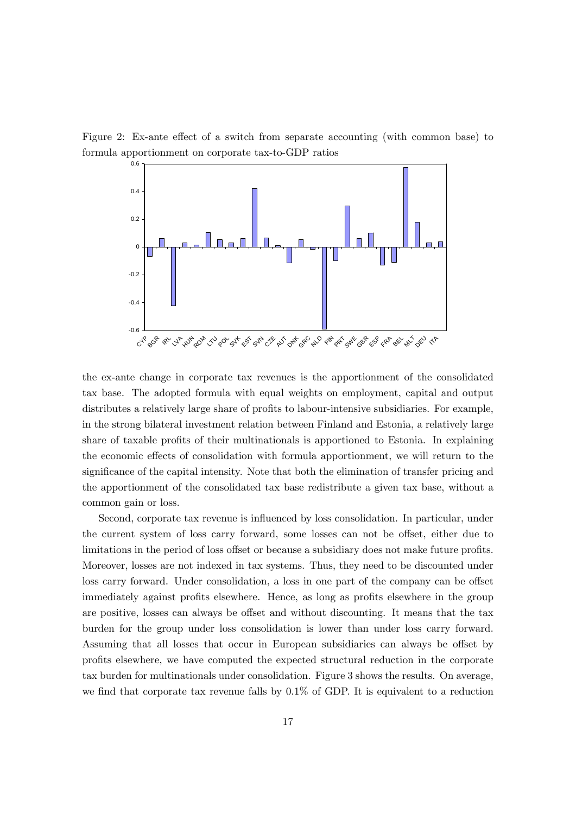Figure 2: Ex-ante effect of a switch from separate accounting (with common base) to formula apportionment on corporate tax-to-GDP ratios



the ex-ante change in corporate tax revenues is the apportionment of the consolidated tax base. The adopted formula with equal weights on employment, capital and output distributes a relatively large share of profits to labour-intensive subsidiaries. For example, in the strong bilateral investment relation between Finland and Estonia, a relatively large share of taxable profits of their multinationals is apportioned to Estonia. In explaining the economic effects of consolidation with formula apportionment, we will return to the significance of the capital intensity. Note that both the elimination of transfer pricing and the apportionment of the consolidated tax base redistribute a given tax base, without a common gain or loss.

Second, corporate tax revenue is influenced by loss consolidation. In particular, under the current system of loss carry forward, some losses can not be offset, either due to limitations in the period of loss offset or because a subsidiary does not make future profits. Moreover, losses are not indexed in tax systems. Thus, they need to be discounted under loss carry forward. Under consolidation, a loss in one part of the company can be offset immediately against profits elsewhere. Hence, as long as profits elsewhere in the group are positive, losses can always be offset and without discounting. It means that the tax burden for the group under loss consolidation is lower than under loss carry forward. Assuming that all losses that occur in European subsidiaries can always be offset by profits elsewhere, we have computed the expected structural reduction in the corporate tax burden for multinationals under consolidation. Figure 3 shows the results. On average, we find that corporate tax revenue falls by  $0.1\%$  of GDP. It is equivalent to a reduction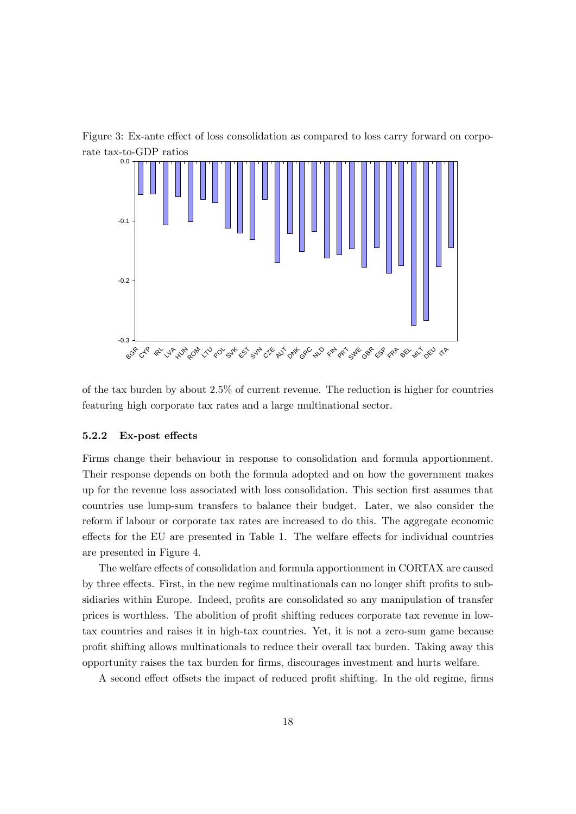Figure 3: Ex-ante effect of loss consolidation as compared to loss carry forward on corporate tax-to-GDP ratios



of the tax burden by about 2:5% of current revenue. The reduction is higher for countries featuring high corporate tax rates and a large multinational sector.

#### 5.2.2 Ex-post effects

Firms change their behaviour in response to consolidation and formula apportionment. Their response depends on both the formula adopted and on how the government makes up for the revenue loss associated with loss consolidation. This section Örst assumes that countries use lump-sum transfers to balance their budget. Later, we also consider the reform if labour or corporate tax rates are increased to do this. The aggregate economic effects for the EU are presented in Table 1. The welfare effects for individual countries are presented in Figure 4.

The welfare effects of consolidation and formula apportionment in CORTAX are caused by three effects. First, in the new regime multinationals can no longer shift profits to subsidiaries within Europe. Indeed, profits are consolidated so any manipulation of transfer prices is worthless. The abolition of profit shifting reduces corporate tax revenue in lowtax countries and raises it in high-tax countries. Yet, it is not a zero-sum game because profit shifting allows multinationals to reduce their overall tax burden. Taking away this opportunity raises the tax burden for Örms, discourages investment and hurts welfare.

A second effect offsets the impact of reduced profit shifting. In the old regime, firms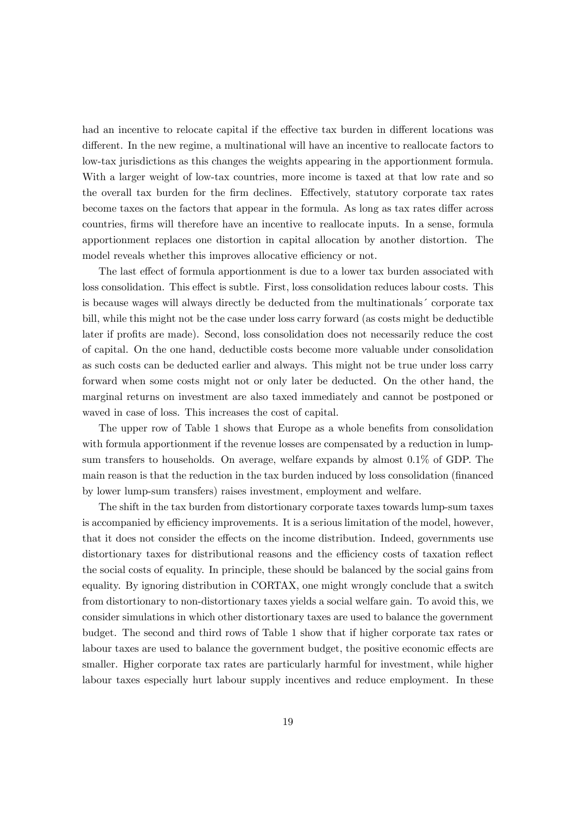had an incentive to relocate capital if the effective tax burden in different locations was different. In the new regime, a multinational will have an incentive to reallocate factors to low-tax jurisdictions as this changes the weights appearing in the apportionment formula. With a larger weight of low-tax countries, more income is taxed at that low rate and so the overall tax burden for the firm declines. Effectively, statutory corporate tax rates become taxes on the factors that appear in the formula. As long as tax rates differ across countries, Örms will therefore have an incentive to reallocate inputs. In a sense, formula apportionment replaces one distortion in capital allocation by another distortion. The model reveals whether this improves allocative efficiency or not.

The last effect of formula apportionment is due to a lower tax burden associated with loss consolidation. This effect is subtle. First, loss consolidation reduces labour costs. This is because wages will always directly be deducted from the multinationals' corporate tax bill, while this might not be the case under loss carry forward (as costs might be deductible later if profits are made). Second, loss consolidation does not necessarily reduce the cost of capital. On the one hand, deductible costs become more valuable under consolidation as such costs can be deducted earlier and always. This might not be true under loss carry forward when some costs might not or only later be deducted. On the other hand, the marginal returns on investment are also taxed immediately and cannot be postponed or waved in case of loss. This increases the cost of capital.

The upper row of Table 1 shows that Europe as a whole benefits from consolidation with formula apportionment if the revenue losses are compensated by a reduction in lumpsum transfers to households. On average, welfare expands by almost 0.1% of GDP. The main reason is that the reduction in the tax burden induced by loss consolidation (Önanced by lower lump-sum transfers) raises investment, employment and welfare.

The shift in the tax burden from distortionary corporate taxes towards lump-sum taxes is accompanied by efficiency improvements. It is a serious limitation of the model, however, that it does not consider the effects on the income distribution. Indeed, governments use distortionary taxes for distributional reasons and the efficiency costs of taxation reflect the social costs of equality. In principle, these should be balanced by the social gains from equality. By ignoring distribution in CORTAX, one might wrongly conclude that a switch from distortionary to non-distortionary taxes yields a social welfare gain. To avoid this, we consider simulations in which other distortionary taxes are used to balance the government budget. The second and third rows of Table 1 show that if higher corporate tax rates or labour taxes are used to balance the government budget, the positive economic effects are smaller. Higher corporate tax rates are particularly harmful for investment, while higher labour taxes especially hurt labour supply incentives and reduce employment. In these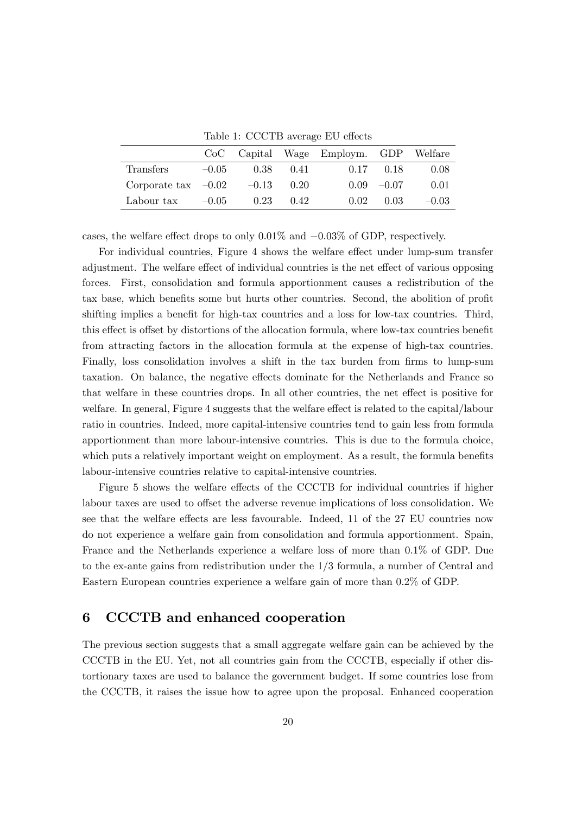Table 1: CCCTB average EU effects

|                       |         |      |              | CoC Capital Wage Employm. GDP Welfare |               |         |
|-----------------------|---------|------|--------------|---------------------------------------|---------------|---------|
| Transfers             | $-0.05$ | 0.38 | (141)        |                                       | $0.17$ $0.18$ | 0.08    |
| Corporate tax $-0.02$ |         |      | $-0.13$ 0.20 |                                       | $0.09 - 0.07$ | 0.01    |
| Labour tax            | $-0.05$ | 0.23 | 0.42         | 0.02                                  | 0.03          | $-0.03$ |

cases, the welfare effect drops to only  $0.01\%$  and  $-0.03\%$  of GDP, respectively.

For individual countries, Figure 4 shows the welfare effect under lump-sum transfer adjustment. The welfare effect of individual countries is the net effect of various opposing forces. First, consolidation and formula apportionment causes a redistribution of the tax base, which benefits some but hurts other countries. Second, the abolition of profit shifting implies a benefit for high-tax countries and a loss for low-tax countries. Third, this effect is offset by distortions of the allocation formula, where low-tax countries benefit from attracting factors in the allocation formula at the expense of high-tax countries. Finally, loss consolidation involves a shift in the tax burden from firms to lump-sum taxation. On balance, the negative effects dominate for the Netherlands and France so that welfare in these countries drops. In all other countries, the net effect is positive for welfare. In general, Figure 4 suggests that the welfare effect is related to the capital/labour ratio in countries. Indeed, more capital-intensive countries tend to gain less from formula apportionment than more labour-intensive countries. This is due to the formula choice, which puts a relatively important weight on employment. As a result, the formula benefits labour-intensive countries relative to capital-intensive countries.

Figure 5 shows the welfare effects of the CCCTB for individual countries if higher labour taxes are used to offset the adverse revenue implications of loss consolidation. We see that the welfare effects are less favourable. Indeed, 11 of the 27 EU countries now do not experience a welfare gain from consolidation and formula apportionment. Spain, France and the Netherlands experience a welfare loss of more than 0.1% of GDP. Due to the ex-ante gains from redistribution under the 1/3 formula, a number of Central and Eastern European countries experience a welfare gain of more than 0.2% of GDP.

## 6 CCCTB and enhanced cooperation

The previous section suggests that a small aggregate welfare gain can be achieved by the CCCTB in the EU. Yet, not all countries gain from the CCCTB, especially if other distortionary taxes are used to balance the government budget. If some countries lose from the CCCTB, it raises the issue how to agree upon the proposal. Enhanced cooperation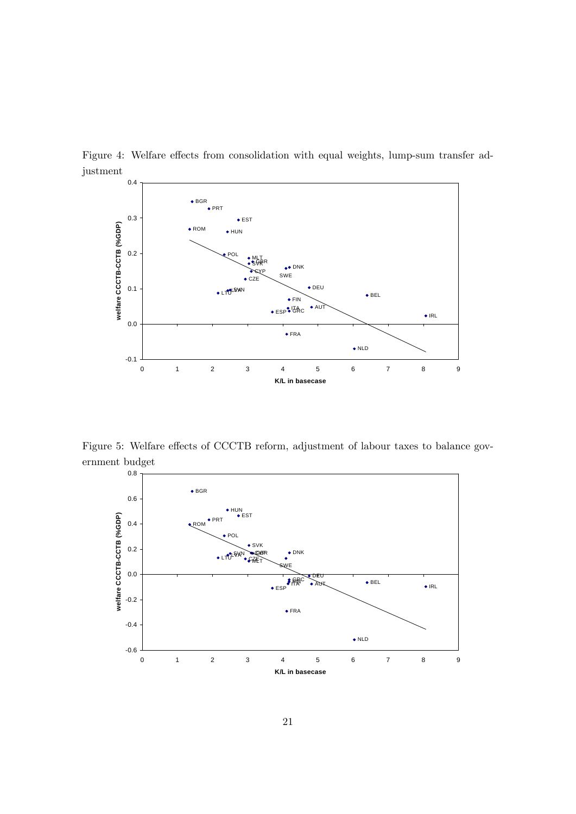

Figure 4: Welfare effects from consolidation with equal weights, lump-sum transfer adjustment

Figure 5: Welfare effects of CCCTB reform, adjustment of labour taxes to balance government budget

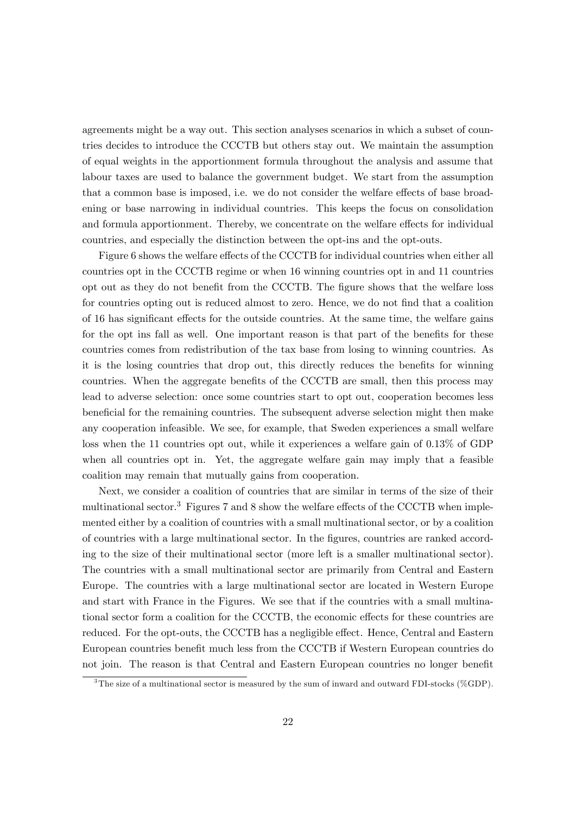agreements might be a way out. This section analyses scenarios in which a subset of countries decides to introduce the CCCTB but others stay out. We maintain the assumption of equal weights in the apportionment formula throughout the analysis and assume that labour taxes are used to balance the government budget. We start from the assumption that a common base is imposed, i.e. we do not consider the welfare effects of base broadening or base narrowing in individual countries. This keeps the focus on consolidation and formula apportionment. Thereby, we concentrate on the welfare effects for individual countries, and especially the distinction between the opt-ins and the opt-outs.

Figure 6 shows the welfare effects of the CCCTB for individual countries when either all countries opt in the CCCTB regime or when 16 winning countries opt in and 11 countries opt out as they do not benefit from the CCCTB. The figure shows that the welfare loss for countries opting out is reduced almost to zero. Hence, we do not find that a coalition of 16 has significant effects for the outside countries. At the same time, the welfare gains for the opt ins fall as well. One important reason is that part of the benefits for these countries comes from redistribution of the tax base from losing to winning countries. As it is the losing countries that drop out, this directly reduces the benefits for winning countries. When the aggregate benefits of the CCCTB are small, then this process may lead to adverse selection: once some countries start to opt out, cooperation becomes less beneficial for the remaining countries. The subsequent adverse selection might then make any cooperation infeasible. We see, for example, that Sweden experiences a small welfare loss when the 11 countries opt out, while it experiences a welfare gain of  $0.13\%$  of GDP when all countries opt in. Yet, the aggregate welfare gain may imply that a feasible coalition may remain that mutually gains from cooperation.

Next, we consider a coalition of countries that are similar in terms of the size of their multinational sector.<sup>3</sup> Figures 7 and 8 show the welfare effects of the CCCTB when implemented either by a coalition of countries with a small multinational sector, or by a coalition of countries with a large multinational sector. In the Ögures, countries are ranked according to the size of their multinational sector (more left is a smaller multinational sector). The countries with a small multinational sector are primarily from Central and Eastern Europe. The countries with a large multinational sector are located in Western Europe and start with France in the Figures. We see that if the countries with a small multinational sector form a coalition for the CCCTB, the economic effects for these countries are reduced. For the opt-outs, the CCCTB has a negligible effect. Hence, Central and Eastern European countries benefit much less from the CCCTB if Western European countries do not join. The reason is that Central and Eastern European countries no longer benefit

 $3$ The size of a multinational sector is measured by the sum of inward and outward FDI-stocks (%GDP).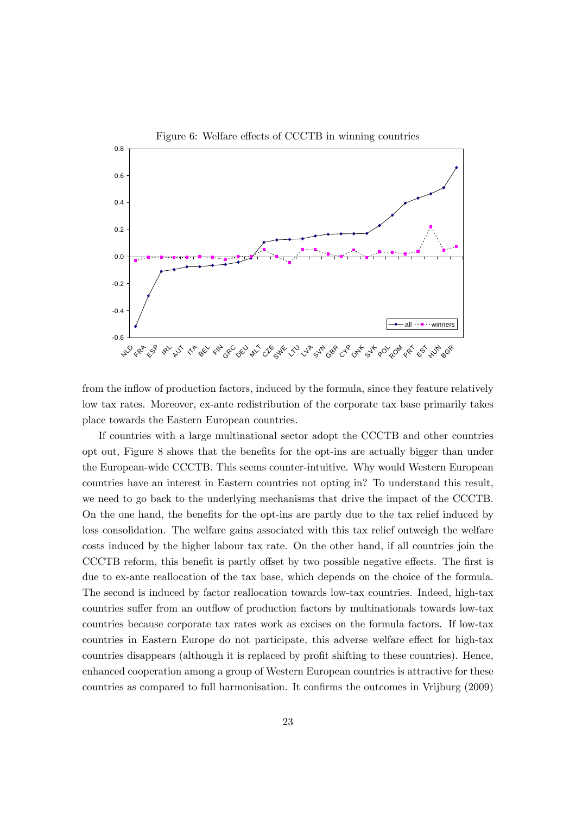

from the inflow of production factors, induced by the formula, since they feature relatively low tax rates. Moreover, ex-ante redistribution of the corporate tax base primarily takes place towards the Eastern European countries.

If countries with a large multinational sector adopt the CCCTB and other countries opt out, Figure 8 shows that the benefits for the opt-ins are actually bigger than under the European-wide CCCTB. This seems counter-intuitive. Why would Western European countries have an interest in Eastern countries not opting in? To understand this result, we need to go back to the underlying mechanisms that drive the impact of the CCCTB. On the one hand, the benefits for the opt-ins are partly due to the tax relief induced by loss consolidation. The welfare gains associated with this tax relief outweigh the welfare costs induced by the higher labour tax rate. On the other hand, if all countries join the CCCTB reform, this benefit is partly offset by two possible negative effects. The first is due to ex-ante reallocation of the tax base, which depends on the choice of the formula. The second is induced by factor reallocation towards low-tax countries. Indeed, high-tax countries suffer from an outflow of production factors by multinationals towards low-tax countries because corporate tax rates work as excises on the formula factors. If low-tax countries in Eastern Europe do not participate, this adverse welfare effect for high-tax countries disappears (although it is replaced by profit shifting to these countries). Hence, enhanced cooperation among a group of Western European countries is attractive for these countries as compared to full harmonisation. It confirms the outcomes in Vrijburg (2009)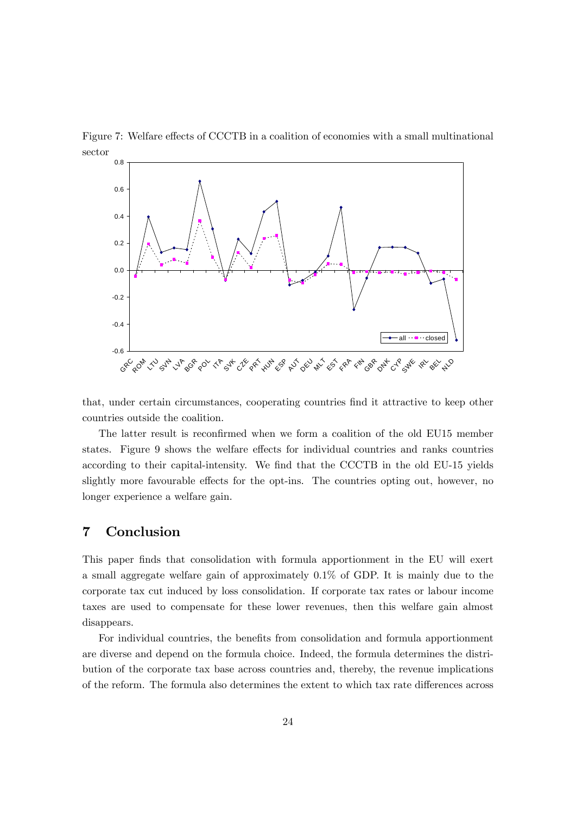

Figure 7: Welfare effects of CCCTB in a coalition of economies with a small multinational sector

that, under certain circumstances, cooperating countries find it attractive to keep other countries outside the coalition.

The latter result is reconfirmed when we form a coalition of the old EU15 member states. Figure 9 shows the welfare effects for individual countries and ranks countries according to their capital-intensity. We find that the CCCTB in the old EU-15 yields slightly more favourable effects for the opt-ins. The countries opting out, however, no longer experience a welfare gain.

## 7 Conclusion

This paper finds that consolidation with formula apportionment in the EU will exert a small aggregate welfare gain of approximately 0.1% of GDP. It is mainly due to the corporate tax cut induced by loss consolidation. If corporate tax rates or labour income taxes are used to compensate for these lower revenues, then this welfare gain almost disappears.

For individual countries, the benefits from consolidation and formula apportionment are diverse and depend on the formula choice. Indeed, the formula determines the distribution of the corporate tax base across countries and, thereby, the revenue implications of the reform. The formula also determines the extent to which tax rate differences across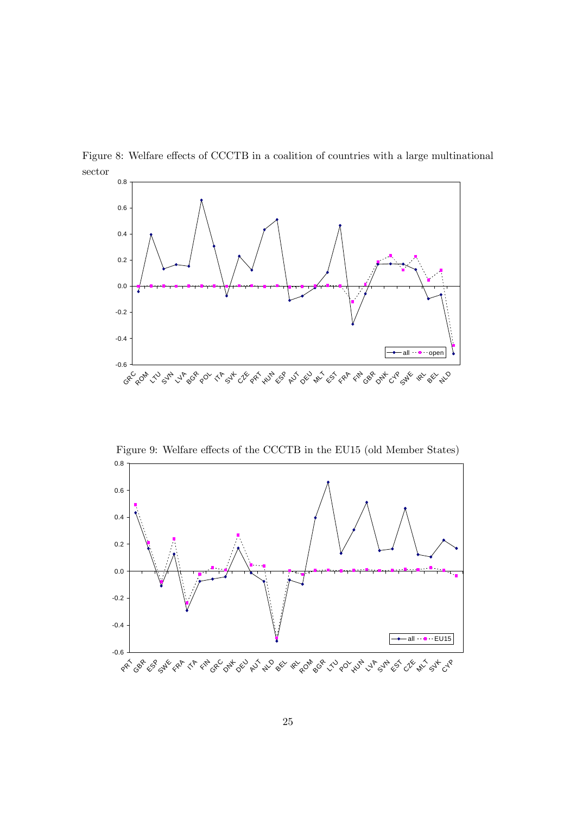

Figure 8: Welfare effects of CCCTB in a coalition of countries with a large multinational sector

Figure 9: Welfare effects of the CCCTB in the EU15 (old Member States)

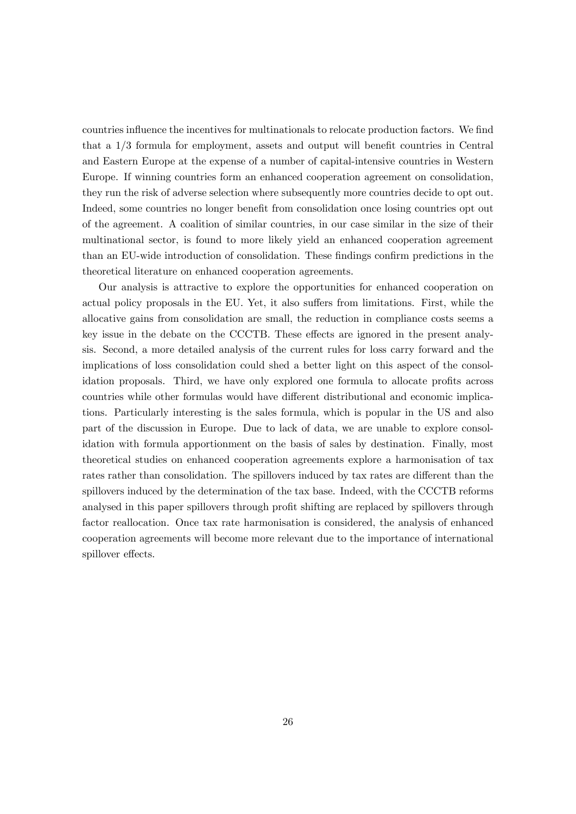countries influence the incentives for multinationals to relocate production factors. We find that a  $1/3$  formula for employment, assets and output will benefit countries in Central and Eastern Europe at the expense of a number of capital-intensive countries in Western Europe. If winning countries form an enhanced cooperation agreement on consolidation, they run the risk of adverse selection where subsequently more countries decide to opt out. Indeed, some countries no longer benefit from consolidation once losing countries opt out of the agreement. A coalition of similar countries, in our case similar in the size of their multinational sector, is found to more likely yield an enhanced cooperation agreement than an EU-wide introduction of consolidation. These findings confirm predictions in the theoretical literature on enhanced cooperation agreements.

Our analysis is attractive to explore the opportunities for enhanced cooperation on actual policy proposals in the EU. Yet, it also suffers from limitations. First, while the allocative gains from consolidation are small, the reduction in compliance costs seems a key issue in the debate on the CCCTB. These effects are ignored in the present analysis. Second, a more detailed analysis of the current rules for loss carry forward and the implications of loss consolidation could shed a better light on this aspect of the consolidation proposals. Third, we have only explored one formula to allocate profits across countries while other formulas would have different distributional and economic implications. Particularly interesting is the sales formula, which is popular in the US and also part of the discussion in Europe. Due to lack of data, we are unable to explore consolidation with formula apportionment on the basis of sales by destination. Finally, most theoretical studies on enhanced cooperation agreements explore a harmonisation of tax rates rather than consolidation. The spillovers induced by tax rates are different than the spillovers induced by the determination of the tax base. Indeed, with the CCCTB reforms analysed in this paper spillovers through profit shifting are replaced by spillovers through factor reallocation. Once tax rate harmonisation is considered, the analysis of enhanced cooperation agreements will become more relevant due to the importance of international spillover effects.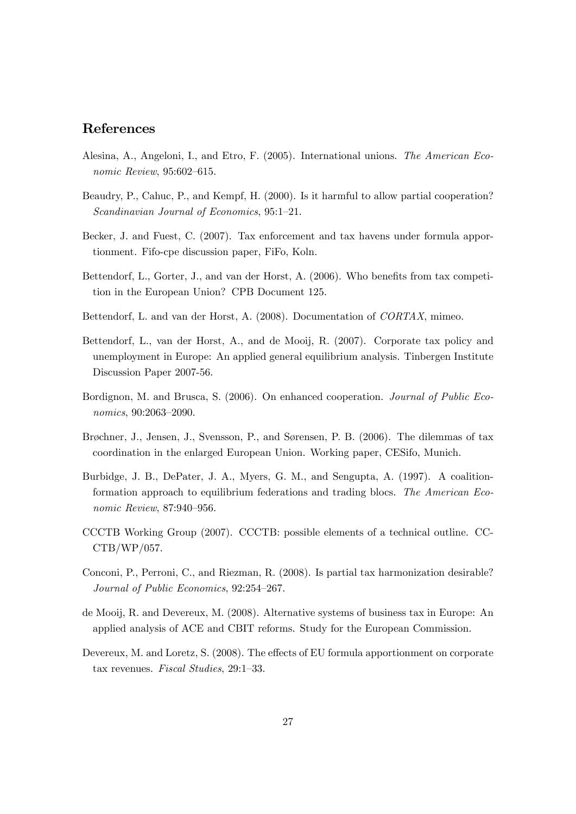## References

- Alesina, A., Angeloni, I., and Etro, F. (2005). International unions. The American Economic Review,  $95:602-615$ .
- Beaudry, P., Cahuc, P., and Kempf, H. (2000). Is it harmful to allow partial cooperation?  $Scandinavian$  Journal of Economics, 95:1-21.
- Becker, J. and Fuest, C. (2007). Tax enforcement and tax havens under formula apportionment. Fifo-cpe discussion paper, FiFo, Koln.
- Bettendorf, L., Gorter, J., and van der Horst, A. (2006). Who benefits from tax competition in the European Union? CPB Document 125.
- Bettendorf, L. and van der Horst, A. (2008). Documentation of CORTAX, mimeo.
- Bettendorf, L., van der Horst, A., and de Mooij, R. (2007). Corporate tax policy and unemployment in Europe: An applied general equilibrium analysis. Tinbergen Institute Discussion Paper 2007-56.
- Bordignon, M. and Brusca, S. (2006). On enhanced cooperation. Journal of Public Eco $nonics, 90:2063 - 2090.$
- Brøchner, J., Jensen, J., Svensson, P., and Sørensen, P. B. (2006). The dilemmas of tax coordination in the enlarged European Union. Working paper, CESifo, Munich.
- Burbidge, J. B., DePater, J. A., Myers, G. M., and Sengupta, A. (1997). A coalitionformation approach to equilibrium federations and trading blocs. The American Economic Review, 87:940-956.
- CCCTB Working Group (2007). CCCTB: possible elements of a technical outline. CC-CTB/WP/057.
- Conconi, P., Perroni, C., and Riezman, R. (2008). Is partial tax harmonization desirable? Journal of Public Economics, 92:254-267.
- de Mooij, R. and Devereux, M. (2008). Alternative systems of business tax in Europe: An applied analysis of ACE and CBIT reforms. Study for the European Commission.
- Devereux, M. and Loretz, S. (2008). The effects of EU formula apportionment on corporate tax revenues. Fiscal Studies,  $29:1-33$ .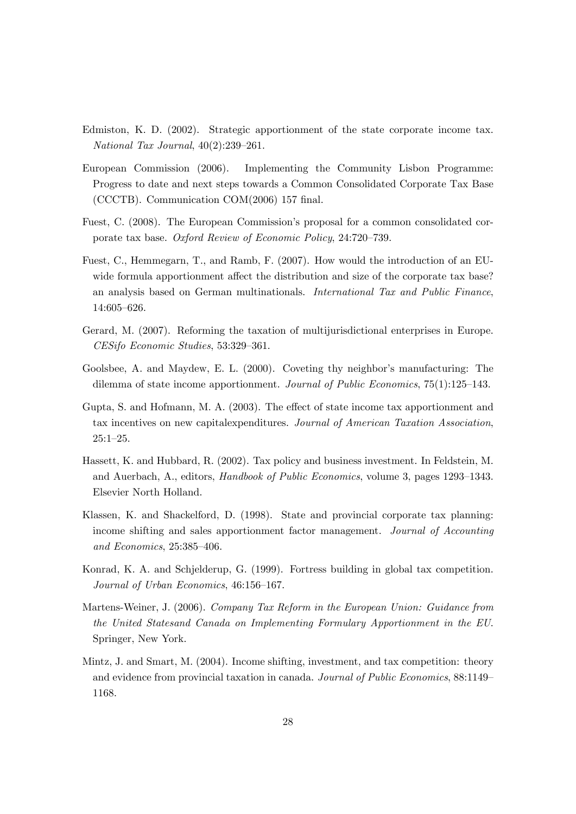- Edmiston, K. D. (2002). Strategic apportionment of the state corporate income tax. National Tax Journal,  $40(2):239-261$ .
- European Commission (2006). Implementing the Community Lisbon Programme: Progress to date and next steps towards a Common Consolidated Corporate Tax Base (CCCTB). Communication  $COM(2006)$  157 final.
- Fuest, C. (2008). The European Commission's proposal for a common consolidated corporate tax base. Oxford Review of Economic Policy, 24:720-739.
- Fuest, C., Hemmegarn, T., and Ramb, F. (2007). How would the introduction of an EUwide formula apportionment affect the distribution and size of the corporate tax base? an analysis based on German multinationals. International Tax and Public Finance, 14:605-626.
- Gerard, M. (2007). Reforming the taxation of multijurisdictional enterprises in Europe.  $CESifo\ Economic\ Studies, 53:329-361.$
- Goolsbee, A. and Maydew, E. L. (2000). Coveting thy neighbor's manufacturing: The dilemma of state income apportionment. Journal of Public Economics,  $75(1):125-143$ .
- Gupta, S. and Hofmann, M. A. (2003). The effect of state income tax apportionment and tax incentives on new capitalexpenditures. Journal of American Taxation Association,  $25:1-25.$
- Hassett, K. and Hubbard, R. (2002). Tax policy and business investment. In Feldstein, M. and Auerbach, A., editors, *Handbook of Public Economics*, volume 3, pages 1293–1343. Elsevier North Holland.
- Klassen, K. and Shackelford, D. (1998). State and provincial corporate tax planning: income shifting and sales apportionment factor management. Journal of Accounting and Economics,  $25:385-406$ .
- Konrad, K. A. and Schjelderup, G. (1999). Fortress building in global tax competition. Journal of Urban Economics,  $46:156-167$ .
- Martens-Weiner, J. (2006). Company Tax Reform in the European Union: Guidance from the United Statesand Canada on Implementing Formulary Apportionment in the EU. Springer, New York.
- Mintz, J. and Smart, M. (2004). Income shifting, investment, and tax competition: theory and evidence from provincial taxation in canada. Journal of Public Economics, 88:1149 1168.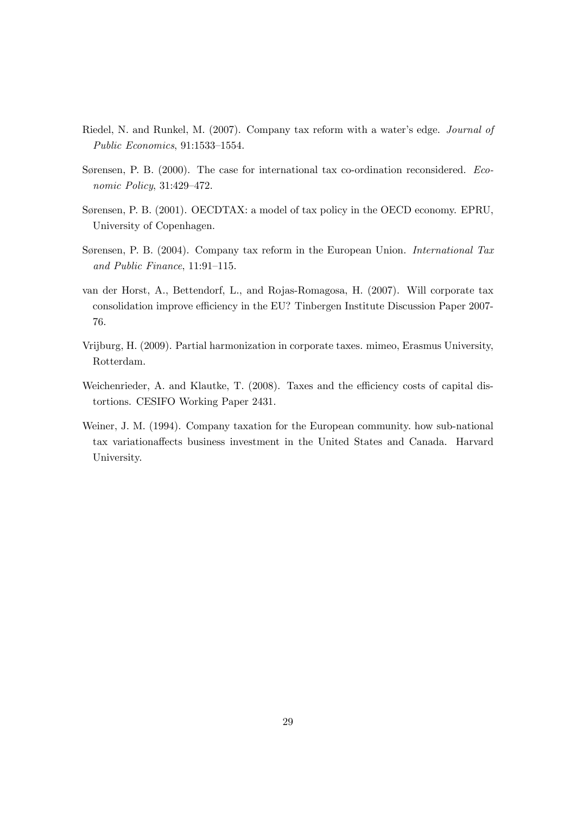- Riedel, N. and Runkel, M. (2007). Company tax reform with a water's edge. *Journal of* Public Economics,  $91:1533-1554$ .
- Sørensen, P. B. (2000). The case for international tax co-ordination reconsidered. Economic Policy,  $31:429-472$ .
- Sørensen, P. B. (2001). OECDTAX: a model of tax policy in the OECD economy. EPRU, University of Copenhagen.
- Sørensen, P. B. (2004). Company tax reform in the European Union. International Tax and Public Finance,  $11:91-115$ .
- van der Horst, A., Bettendorf, L., and Rojas-Romagosa, H. (2007). Will corporate tax consolidation improve efficiency in the EU? Tinbergen Institute Discussion Paper 2007-76.
- Vrijburg, H. (2009). Partial harmonization in corporate taxes. mimeo, Erasmus University, Rotterdam.
- Weichenrieder, A. and Klautke, T.  $(2008)$ . Taxes and the efficiency costs of capital distortions. CESIFO Working Paper 2431.
- Weiner, J. M. (1994). Company taxation for the European community. how sub-national tax variationa§ects business investment in the United States and Canada. Harvard University.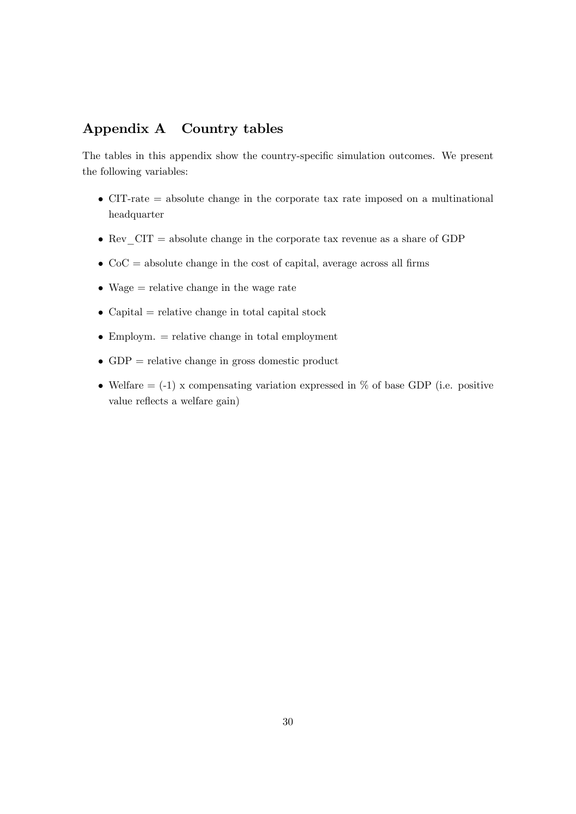# Appendix A Country tables

The tables in this appendix show the country-specific simulation outcomes. We present the following variables:

- CIT-rate = absolute change in the corporate tax rate imposed on a multinational headquarter
- Rev  $CIT = absolute change in the corporate tax revenue as a share of GDP$
- $\bullet$  CoC = absolute change in the cost of capital, average across all firms
- Wage = relative change in the wage rate
- $\bullet$  Capital = relative change in total capital stock
- $\bullet$  Employm.  $=$  relative change in total employment
- GDP = relative change in gross domestic product
- Welfare  $= (-1)$  x compensating variation expressed in % of base GDP (i.e. positive value reflects a welfare gain)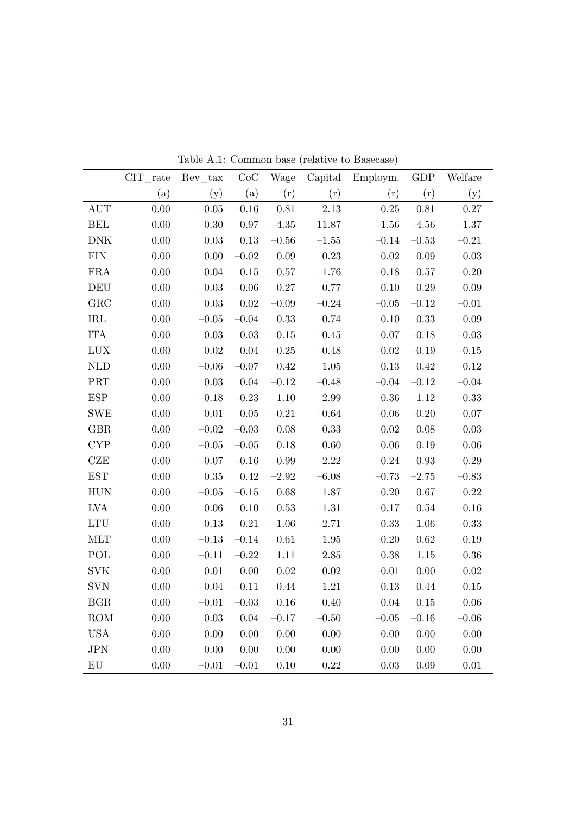|              | CIT rate | Rev tax  | CoC      | Wage     | Capital  | Employm. | GDP      | Welfare  |
|--------------|----------|----------|----------|----------|----------|----------|----------|----------|
|              | (a)      | (y)      | (a)      | (r)      | (r)      | (r)      | (r)      | (y)      |
| <b>AUT</b>   | 0.00     | $-0.05$  | $-0.16$  | 0.81     | 2.13     | 0.25     | 0.81     | $0.27\,$ |
| <b>BEL</b>   | 0.00     | 0.30     | 0.97     | $-4.35$  | $-11.87$ | $-1.56$  | $-4.56$  | $-1.37$  |
| <b>DNK</b>   | 0.00     | 0.03     | 0.13     | $-0.56$  | $-1.55$  | $-0.14$  | $-0.53$  | $-0.21$  |
| <b>FIN</b>   | 0.00     | 0.00     | $-0.02$  | 0.09     | 0.23     | $0.02\,$ | $0.09\,$ | $0.03\,$ |
| <b>FRA</b>   | 0.00     | 0.04     | 0.15     | $-0.57$  | $-1.76$  | $-0.18$  | $-0.57$  | $-0.20$  |
| DEU          | 0.00     | $-0.03$  | $-0.06$  | 0.27     | 0.77     | 0.10     | 0.29     | 0.09     |
| GRC          | 0.00     | 0.03     | $0.02\,$ | $-0.09$  | $-0.24$  | $-0.05$  | $-0.12$  | $-0.01$  |
| IRL          | 0.00     | $-0.05$  | $-0.04$  | 0.33     | 0.74     | 0.10     | 0.33     | 0.09     |
| <b>ITA</b>   | 0.00     | 0.03     | $0.03\,$ | $-0.15$  | $-0.45$  | $-0.07$  | $-0.18$  | $-0.03$  |
| <b>LUX</b>   | 0.00     | 0.02     | $0.04\,$ | $-0.25$  | $-0.48$  | $-0.02$  | $-0.19$  | $-0.15$  |
| NLD          | 0.00     | $-0.06$  | $-0.07$  | 0.42     | 1.05     | 0.13     | 0.42     | 0.12     |
| PRT          | 0.00     | 0.03     | $0.04\,$ | $-0.12$  | $-0.48$  | $-0.04$  | $-0.12$  | $-0.04$  |
| <b>ESP</b>   | 0.00     | $-0.18$  | $-0.23$  | 1.10     | 2.99     | 0.36     | 1.12     | 0.33     |
| <b>SWE</b>   | 0.00     | 0.01     | 0.05     | $-0.21$  | $-0.64$  | $-0.06$  | $-0.20$  | $-0.07$  |
| <b>GBR</b>   | 0.00     | $-0.02$  | $-0.03$  | 0.08     | 0.33     | $0.02\,$ | 0.08     | 0.03     |
| <b>CYP</b>   | 0.00     | $-0.05$  | $-0.05$  | 0.18     | 0.60     | 0.06     | 0.19     | 0.06     |
| CZE          | 0.00     | $-0.07$  | $-0.16$  | 0.99     | 2.22     | 0.24     | 0.93     | 0.29     |
| <b>EST</b>   | 0.00     | 0.35     | 0.42     | $-2.92$  | $-6.08$  | $-0.73$  | $-2.75$  | $-0.83$  |
| <b>HUN</b>   | 0.00     | $-0.05$  | $-0.15$  | 0.68     | 1.87     | 0.20     | 0.67     | 0.22     |
| LVA          | 0.00     | 0.06     | 0.10     | $-0.53$  | $-1.31$  | $-0.17$  | $-0.54$  | $-0.16$  |
| LTU          | 0.00     | 0.13     | $0.21\,$ | $-1.06$  | $-2.71$  | $-0.33$  | $-1.06$  | $-0.33$  |
| <b>MLT</b>   | 0.00     | $-0.13$  | $-0.14$  | $0.61\,$ | 1.95     | 0.20     | 0.62     | 0.19     |
| POL          | 0.00     | $-0.11$  | $-0.22$  | 1.11     | 2.85     | 0.38     | 1.15     | 0.36     |
| <b>SVK</b>   | 0.00     | $0.01\,$ | 0.00     | 0.02     | 0.02     | $-0.01$  | 0.00     | 0.02     |
| <b>SVN</b>   | 0.00     | $-0.04$  | $-0.11$  | 0.44     | 1.21     | 0.13     | 0.44     | 0.15     |
| $_{\rm BGR}$ | $0.00\,$ | $-0.01$  | $-0.03$  | 0.16     | 0.40     | 0.04     | 0.15     | 0.06     |
| <b>ROM</b>   | 0.00     | $0.03\,$ | 0.04     | $-0.17$  | $-0.50$  | $-0.05$  | $-0.16$  | $-0.06$  |
| <b>USA</b>   | 0.00     | 0.00     | 0.00     | 0.00     | 0.00     | 0.00     | $0.00\,$ | 0.00     |
| JPN          | 0.00     | $0.00\,$ | 0.00     | 0.00     | 0.00     | 0.00     | 0.00     | 0.00     |
| ${\rm EU}$   | 0.00     | $-0.01$  | $-0.01$  | 0.10     | $0.22\,$ | $0.03\,$ | 0.09     | 0.01     |

Table A.1: Common base (relative to Basecase)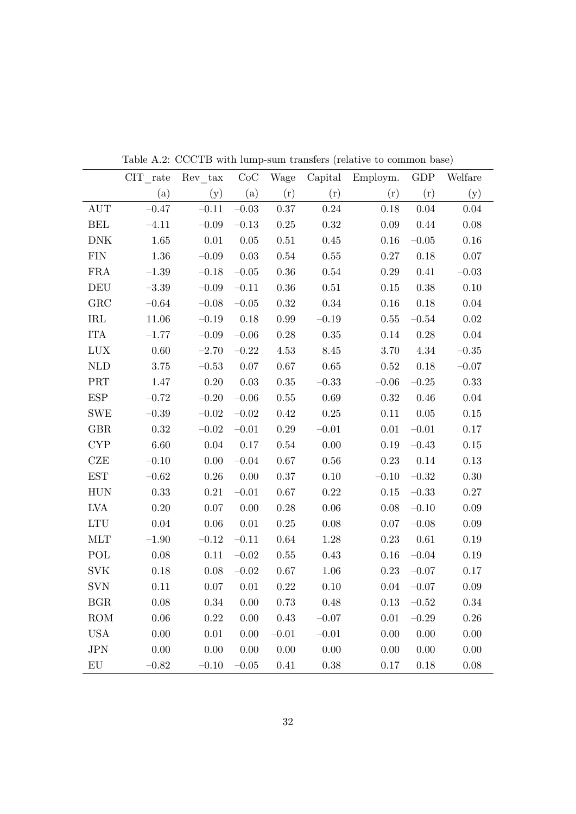|                             | $CIT$ <sub>_rate</sub> | $Rev\_tax$ | CoC       | Wage      | Capital   | Employm.  | GDP       | Welfare    |
|-----------------------------|------------------------|------------|-----------|-----------|-----------|-----------|-----------|------------|
|                             | (a)                    | (y)        | (a)       | (r)       | (r)       | (r)       | (r)       | (y)        |
| <b>AUT</b>                  | $-0.47$                | $-0.11$    | $-0.03$   | $0.37\,$  | $0.24\,$  | $0.18\,$  | 0.04      | 0.04       |
| <b>BEL</b>                  | $-4.11$                | $-0.09$    | $-0.13$   | $0.25\,$  | $0.32\,$  | $0.09\,$  | 0.44      | 0.08       |
| DNK                         | 1.65                   | $0.01\,$   | 0.05      | $0.51\,$  | 0.45      | $0.16\,$  | $-0.05\,$ | 0.16       |
| ${\rm FIN}$                 | 1.36                   | $-0.09$    | 0.03      | $0.54\,$  | 0.55      | $0.27\,$  | $0.18\,$  | 0.07       |
| ${\rm FRA}$                 | $-1.39\,$              | $-0.18$    | $-0.05\,$ | $0.36\,$  | 0.54      | $0.29\,$  | $0.41\,$  | $-0.03\,$  |
| DEU                         | $-3.39$                | $-0.09\,$  | $-0.11$   | $0.36\,$  | $0.51\,$  | $0.15\,$  | $0.38\,$  | 0.10       |
| ${\rm GRC}$                 | $-0.64\,$              | $-0.08$    | $-0.05\,$ | $0.32\,$  | $0.34\,$  | $0.16\,$  | $0.18\,$  | 0.04       |
| $\operatorname{IRL}$        | $11.06\,$              | $-0.19$    | $0.18\,$  | $0.99\,$  | $-0.19$   | $0.55\,$  | $-0.54\,$ | 0.02       |
| <b>ITA</b>                  | $-1.77$                | $-0.09$    | $-0.06\,$ | $0.28\,$  | $0.35\,$  | $0.14\,$  | $0.28\,$  | 0.04       |
| $\rm LUX$                   | $0.60\,$               | $-2.70$    | $-0.22$   | $4.53\,$  | 8.45      | $3.70\,$  | $4.34\,$  | $-0.35\,$  |
| $\mbox{NLD}$                | $3.75\,$               | $-0.53\,$  | $0.07\,$  | $0.67\,$  | $0.65\,$  | $0.52\,$  | $0.18\,$  | $-0.07$    |
| PRT                         | 1.47                   | $0.20\,$   | $0.03\,$  | $0.35\,$  | $-0.33$   | $-0.06\,$ | $-0.25\,$ | $\rm 0.33$ |
| ESP                         | $-0.72$                | $-0.20$    | $-0.06\,$ | $0.55\,$  | 0.69      | $0.32\,$  | $0.46\,$  | 0.04       |
| <b>SWE</b>                  | $-0.39\,$              | $-0.02\,$  | $-0.02$   | $0.42\,$  | 0.25      | $0.11\,$  | $0.05\,$  | 0.15       |
| GBR                         | 0.32                   | $-0.02$    | $-0.01$   | $0.29\,$  | $-0.01$   | $0.01\,$  | $-0.01$   | 0.17       |
| CYP                         | 6.60                   | 0.04       | 0.17      | $0.54\,$  | 0.00      | $0.19\,$  | $-0.43$   | 0.15       |
| CZE                         | $-0.10$                | 0.00       | $-0.04$   | $0.67\,$  | 0.56      | $0.23\,$  | 0.14      | 0.13       |
| $\operatorname{EST}$        | $-0.62$                | $0.26\,$   | 0.00      | $0.37\,$  | 0.10      | $-0.10$   | $-0.32$   | 0.30       |
| <b>HUN</b>                  | 0.33                   | $0.21\,$   | $-0.01$   | $0.67\,$  | 0.22      | $0.15\,$  | $-0.33$   | 0.27       |
| LVA                         | 0.20                   | $0.07\,$   | 0.00      | $0.28\,$  | $0.06\,$  | $0.08\,$  | $-0.10$   | 0.09       |
| $\mathop{\rm LTU}\nolimits$ | 0.04                   | 0.06       | $0.01\,$  | $0.25\,$  | 0.08      | $0.07\,$  | $-0.08$   | 0.09       |
| MLT                         | $-1.90$                | $-0.12$    | $-0.11$   | $0.64\,$  | 1.28      | $0.23\,$  | $0.61\,$  | 0.19       |
| POL                         | $0.08\,$               | 0.11       | $-0.02\,$ | $0.55\,$  | 0.43      | $0.16\,$  | $-0.04$   | 0.19       |
| $\rm SVK$                   | 0.18                   | $0.08\,$   | $-0.02$   | $0.67\,$  | 1.06      | $0.23\,$  | $-0.07$   | 0.17       |
| <b>SVN</b>                  | 0.11                   | $0.07\,$   | $0.01\,$  | $0.22\,$  | 0.10      | $0.04\,$  | $-0.07$   | 0.09       |
| BGR                         | 0.08                   | $0.34\,$   | 0.00      | $0.73\,$  | 0.48      | $0.13\,$  | $-0.52\,$ | 0.34       |
| <b>ROM</b>                  | 0.06                   | $0.22\,$   | 0.00      | $0.43\,$  | $-0.07$   | $0.01\,$  | $-0.29$   | 0.26       |
| $_{\mathrm{USA}}$           | $0.00\,$               | $0.01\,$   | 0.00      | $-0.01\,$ | $-0.01\,$ | $0.00\,$  | $0.00\,$  | $0.00\,$   |
| JPN                         | $0.00\,$               | $0.00\,$   | 0.00      | $0.00\,$  | 0.00      | $0.00\,$  | $0.00\,$  | 0.00       |
| ${\rm EU}$                  | $-0.82$                | $-0.10$    | $-0.05\,$ | 0.41      | 0.38      | $0.17\,$  | 0.18      | 0.08       |

Table A.2: CCCTB with lump-sum transfers (relative to common base)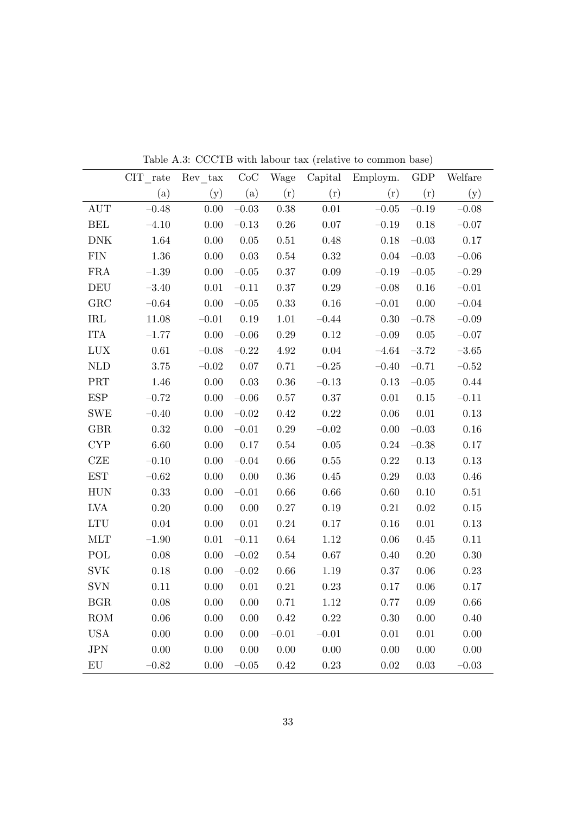|                             | CIT rate  | Rev tax   | CoC       | Wage     | Capital   | Employm.  | GDP       | Welfare   |
|-----------------------------|-----------|-----------|-----------|----------|-----------|-----------|-----------|-----------|
|                             | (a)       | (y)       | (a)       | (r)      | (r)       | (r)       | (r)       | (y)       |
| <b>AUT</b>                  | $-0.48$   | $0.00\,$  | $-0.03$   | 0.38     | $0.01\,$  | $-0.05\,$ | $-0.19$   | $-0.08$   |
| <b>BEL</b>                  | $-4.10$   | $0.00\,$  | $-0.13$   | $0.26\,$ | $0.07\,$  | $-0.19$   | $0.18\,$  | $-0.07$   |
| <b>DNK</b>                  | 1.64      | $0.00\,$  | $0.05\,$  | $0.51\,$ | 0.48      | 0.18      | $-0.03$   | 0.17      |
| <b>FIN</b>                  | $1.36\,$  | 0.00      | $0.03\,$  | $0.54\,$ | $0.32\,$  | $0.04\,$  | $-0.03\,$ | $-0.06\,$ |
| ${\rm FRA}$                 | $-1.39\,$ | $0.00\,$  | $-0.05\,$ | $0.37\,$ | $0.09\,$  | $-0.19\,$ | $-0.05\,$ | $-0.29$   |
| <b>DEU</b>                  | $-3.40$   | $0.01\,$  | $-0.11\,$ | 0.37     | $0.29\,$  | $-0.08$   | 0.16      | $-0.01\,$ |
| GRC                         | $-0.64\,$ | 0.00      | $-0.05$   | $0.33\,$ | 0.16      | $-0.01$   | $0.00\,$  | $-0.04$   |
| <b>IRL</b>                  | $11.08\,$ | $-0.01$   | 0.19      | $1.01\,$ | $-0.44$   | $0.30\,$  | $-0.78$   | $-0.09$   |
| <b>ITA</b>                  | $-1.77$   | 0.00      | $-0.06$   | 0.29     | 0.12      | $-0.09$   | $0.05\,$  | $-0.07$   |
| $_{\mbox{\text{LUX}}}$      | $0.61\,$  | $-0.08$   | $-0.22$   | 4.92     | 0.04      | $-4.64$   | $-3.72$   | $-3.65$   |
| <b>NLD</b>                  | $3.75\,$  | $-0.02\,$ | 0.07      | 0.71     | $-0.25\,$ | $-0.40$   | $-0.71$   | $-0.52$   |
| PRT                         | 1.46      | $0.00\,$  | 0.03      | $0.36\,$ | $-0.13$   | $0.13\,$  | $-0.05\,$ | 0.44      |
| ESP                         | $-0.72$   | $0.00\,$  | $-0.06$   | $0.57\,$ | $0.37\,$  | $0.01\,$  | $0.15\,$  | $-0.11$   |
| <b>SWE</b>                  | $-0.40$   | $0.00\,$  | $-0.02$   | 0.42     | $0.22\,$  | $0.06\,$  | $0.01\,$  | $0.13\,$  |
| GBR                         | 0.32      | 0.00      | $-0.01\,$ | $0.29\,$ | $-0.02$   | $0.00\,$  | $-0.03$   | $0.16\,$  |
| <b>CYP</b>                  | 6.60      | 0.00      | 0.17      | $0.54\,$ | $0.05\,$  | $0.24\,$  | $-0.38\,$ | 0.17      |
| CZE                         | $-0.10$   | 0.00      | $-0.04$   | $0.66\,$ | 0.55      | $0.22\,$  | $0.13\,$  | 0.13      |
| <b>EST</b>                  | $-0.62$   | 0.00      | 0.00      | 0.36     | $0.45\,$  | $0.29\,$  | $0.03\,$  | 0.46      |
| <b>HUN</b>                  | $0.33\,$  | $0.00\,$  | $-0.01\,$ | $0.66\,$ | $0.66\,$  | $0.60\,$  | 0.10      | $0.51\,$  |
| LVA                         | 0.20      | 0.00      | 0.00      | $0.27\,$ | $0.19\,$  | $0.21\,$  | $0.02\,$  | 0.15      |
| $\mathop{\rm LTU}\nolimits$ | 0.04      | $0.00\,$  | $0.01\,$  | $0.24\,$ | $0.17\,$  | $0.16\,$  | $0.01\,$  | $0.13\,$  |
| MLT                         | $-1.90$   | $0.01\,$  | $-0.11$   | $0.64\,$ | $1.12\,$  | 0.06      | 0.45      | $0.11\,$  |
| POL                         | 0.08      | 0.00      | $-0.02$   | $0.54\,$ | $0.67\,$  | 0.40      | 0.20      | 0.30      |
| <b>SVK</b>                  | $0.18\,$  | 0.00      | $-0.02$   | $0.66\,$ | 1.19      | $0.37\,$  | 0.06      | $0.23\,$  |
| <b>SVN</b>                  | 0.11      | 0.00      | $0.01\,$  | $0.21\,$ | 0.23      | $0.17\,$  | 0.06      | 0.17      |
| BGR                         | 0.08      | 0.00      | 0.00      | 0.71     | 1.12      | 0.77      | 0.09      | 0.66      |
| <b>ROM</b>                  | 0.06      | 0.00      | 0.00      | 0.42     | 0.22      | 0.30      | 0.00      | 0.40      |
| <b>USA</b>                  | $0.00\,$  | 0.00      | 0.00      | $-0.01$  | $-0.01\,$ | $0.01\,$  | $0.01\,$  | $0.00\,$  |
| JPN                         | $0.00\,$  | 0.00      | 0.00      | $0.00\,$ | $0.00\,$  | $0.00\,$  | $0.00\,$  | $0.00\,$  |
| ${\rm EU}$                  | $-0.82$   | $0.00\,$  | $-0.05\,$ | 0.42     | 0.23      | 0.02      | $0.03\,$  | $-0.03\,$ |

Table A.3: CCCTB with labour tax (relative to common base)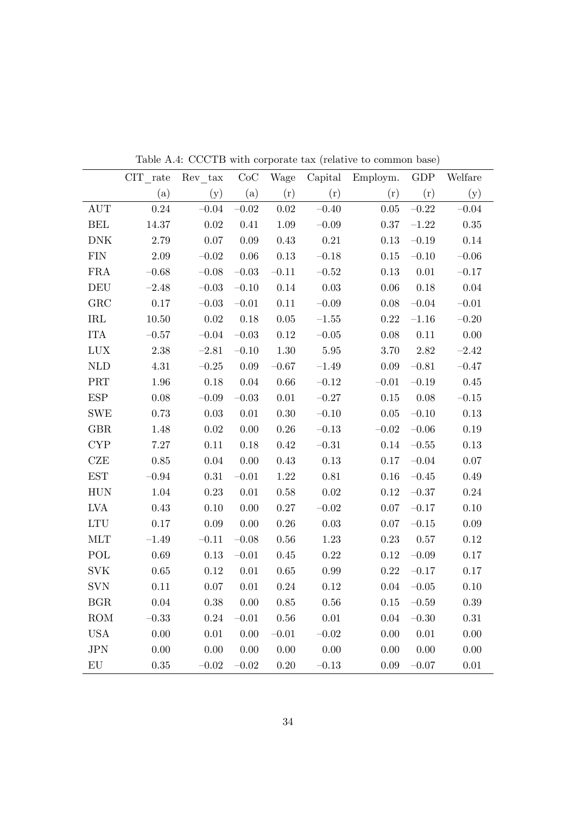|                             | $CIT$ rate | Rev tax   | $\rm CoC$ | Wage      | Capital   | Employm. | <b>GDP</b> | Welfare   |
|-----------------------------|------------|-----------|-----------|-----------|-----------|----------|------------|-----------|
|                             | (a)        | (y)       | (a)       | (r)       | (r)       | (r)      | (r)        | (y)       |
| <b>AUT</b>                  | 0.24       | $-0.04$   | $-0.02$   | $0.02\,$  | $-0.40$   | $0.05\,$ | $-0.22$    | $-0.04$   |
| <b>BEL</b>                  | 14.37      | $0.02\,$  | $0.41\,$  | 1.09      | $-0.09$   | $0.37\,$ | $-1.22$    | $0.35\,$  |
| $\rm{DNK}$                  | 2.79       | $0.07\,$  | 0.09      | 0.43      | $0.21\,$  | $0.13\,$ | $-0.19$    | 0.14      |
| ${\rm FIN}$                 | $2.09\,$   | $-0.02\,$ | 0.06      | $0.13\,$  | $-0.18\,$ | $0.15\,$ | $-0.10$    | $-0.06$   |
| FRA                         | $-0.68\,$  | $-0.08$   | $-0.03$   | $-0.11$   | $-0.52$   | $0.13\,$ | $0.01\,$   | $-0.17$   |
| <b>DEU</b>                  | $-2.48$    | $-0.03$   | $-0.10$   | $0.14\,$  | $0.03\,$  | $0.06\,$ | $0.18\,$   | 0.04      |
| ${\rm GRC}$                 | $0.17\,$   | $-0.03$   | $-0.01$   | 0.11      | $-0.09$   | $0.08\,$ | $-0.04\,$  | $-0.01$   |
| IRL                         | $10.50\,$  | $0.02\,$  | 0.18      | $0.05\,$  | $-1.55\,$ | $0.22\,$ | $\!-1.16$  | $-0.20$   |
| <b>ITA</b>                  | $-0.57$    | $-0.04$   | $-0.03$   | 0.12      | $-0.05$   | 0.08     | $0.11\,$   | $0.00\,$  |
| LUX                         | $2.38\,$   | $-2.81$   | $-0.10$   | $1.30\,$  | $5.95\,$  | 3.70     | 2.82       | $-2.42$   |
| <b>NLD</b>                  | $4.31\,$   | $-0.25$   | $0.09\,$  | $-0.67$   | $-1.49$   | $0.09\,$ | $-0.81\,$  | $-0.47$   |
| PRT                         | 1.96       | $0.18\,$  | 0.04      | $0.66\,$  | $-0.12$   | $-0.01$  | $-0.19$    | 0.45      |
| ${\rm ESP}$                 | $0.08\,$   | $-0.09\,$ | $-0.03\,$ | $0.01\,$  | $-0.27$   | $0.15\,$ | $0.08\,$   | $-0.15\,$ |
| <b>SWE</b>                  | $0.73\,$   | $0.03\,$  | $0.01\,$  | $0.30\,$  | $-0.10$   | $0.05\,$ | $-0.10\,$  | 0.13      |
| <b>GBR</b>                  | 1.48       | $0.02\,$  | 0.00      | $0.26\,$  | $-0.13$   | $-0.02$  | $-0.06$    | $0.19\,$  |
| <b>CYP</b>                  | 7.27       | 0.11      | $0.18\,$  | $0.42\,$  | $-0.31$   | 0.14     | $-0.55\,$  | $0.13\,$  |
| CZE                         | 0.85       | 0.04      | $0.00\,$  | $0.43\,$  | $0.13\,$  | $0.17\,$ | $-0.04$    | 0.07      |
| $\operatorname{EST}$        | $-0.94$    | $0.31\,$  | $-0.01$   | $1.22\,$  | $0.81\,$  | $0.16\,$ | $-0.45\,$  | 0.49      |
| ${\rm HUN}$                 | $1.04\,$   | 0.23      | $0.01\,$  | $0.58\,$  | $0.02\,$  | $0.12\,$ | $-0.37\,$  | 0.24      |
| LVA                         | $0.43\,$   | 0.10      | 0.00      | $0.27\,$  | $-0.02\,$ | $0.07\,$ | $-0.17$    | 0.10      |
| $\mathop{\rm LTU}\nolimits$ | 0.17       | $0.09\,$  | 0.00      | $0.26\,$  | $0.03\,$  | $0.07\,$ | $-0.15\,$  | $0.09\,$  |
| MLT                         | $-1.49$    | $-0.11$   | $-0.08$   | $0.56\,$  | $1.23\,$  | $0.23\,$ | $0.57\,$   | $0.12\,$  |
| POL                         | $0.69\,$   | $0.13\,$  | $-0.01$   | $0.45\,$  | $0.22\,$  | 0.12     | $-0.09\,$  | $0.17\,$  |
| $\rm SVK$                   | $0.65\,$   | $0.12\,$  | $0.01\,$  | $0.65\,$  | 0.99      | $0.22\,$ | $-0.17$    | $0.17\,$  |
| $\mathrm{SVN}$              | $0.11\,$   | $0.07\,$  | $0.01\,$  | $0.24\,$  | $0.12\,$  | $0.04\,$ | $-0.05\,$  | 0.10      |
| $_{\rm BGR}$                | 0.04       | $0.38\,$  | 0.00      | $0.85\,$  | $0.56\,$  | $0.15\,$ | $-0.59\,$  | $0.39\,$  |
| ROM                         | $-0.33$    | $0.24\,$  | $-0.01\,$ | $0.56\,$  | $0.01\,$  | $0.04\,$ | $-0.30$    | $0.31\,$  |
| $_{\mathrm{USA}}$           | $0.00\,$   | $0.01\,$  | $0.00\,$  | $-0.01\,$ | $-0.02\,$ | $0.00\,$ | $0.01\,$   | $0.00\,$  |
| JPN                         | $0.00\,$   | $0.00\,$  | $0.00\,$  | $0.00\,$  | 0.00      | $0.00\,$ | $0.00\,$   | $0.00\,$  |
| ${\rm EU}$                  | 0.35       | $-0.02$   | $-0.02$   | 0.20      | $-0.13$   | $0.09\,$ | $-0.07$    | $0.01\,$  |

Table A.4: CCCTB with corporate tax (relative to common base)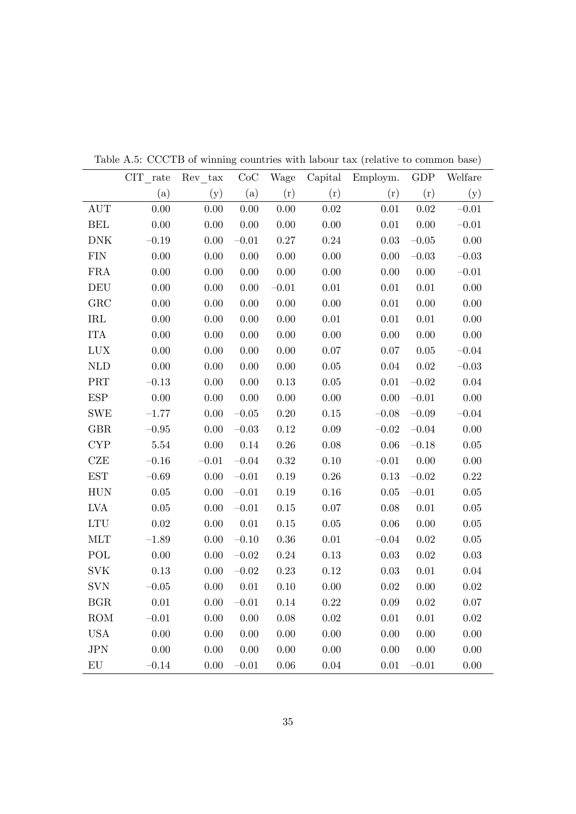|                             | CIT rate | Rev tax  | CoC       | Wage     | Capital  | Employm.  | GDP       | Welfare   |
|-----------------------------|----------|----------|-----------|----------|----------|-----------|-----------|-----------|
|                             | (a)      | (y)      | (a)       | (r)      | (r)      | (r)       | (r)       | (y)       |
| <b>AUT</b>                  | 0.00     | $0.00\,$ | 0.00      | $0.00\,$ | 0.02     | $0.01\,$  | $0.02\,$  | $-0.01$   |
| <b>BEL</b>                  | $0.00\,$ | $0.00\,$ | $0.00\,$  | $0.00\,$ | $0.00\,$ | $0.01\,$  | $0.00\,$  | $-0.01\,$ |
| $\rm{DNK}$                  | $-0.19$  | 0.00     | $-0.01$   | $0.27\,$ | $0.24\,$ | $0.03\,$  | $-0.05\,$ | $0.00\,$  |
| ${\rm FIN}$                 | 0.00     | 0.00     | 0.00      | 0.00     | 0.00     | $0.00\,$  | $-0.03$   | $-0.03$   |
| FRA                         | 0.00     | 0.00     | 0.00      | 0.00     | 0.00     | $0.00\,$  | $0.00\,$  | $-0.01$   |
| <b>DEU</b>                  | 0.00     | $0.00\,$ | 0.00      | $-0.01$  | $0.01\,$ | $0.01\,$  | $0.01\,$  | 0.00      |
| GRC                         | 0.00     | 0.00     | 0.00      | 0.00     | 0.00     | $0.01\,$  | 0.00      | 0.00      |
| $\operatorname{IRL}$        | $0.00\,$ | 0.00     | $0.00\,$  | $0.00\,$ | 0.01     | $0.01\,$  | $0.01\,$  | 0.00      |
| <b>ITA</b>                  | 0.00     | 0.00     | 0.00      | 0.00     | 0.00     | $0.00\,$  | 0.00      | 0.00      |
| LUX                         | 0.00     | 0.00     | 0.00      | 0.00     | 0.07     | $0.07\,$  | $0.05\,$  | $-0.04$   |
| $\mbox{NLD}$                | 0.00     | 0.00     | $0.00\,$  | $0.00\,$ | $0.05\,$ | 0.04      | $0.02\,$  | $-0.03$   |
| PRT                         | $-0.13$  | $0.00\,$ | $0.00\,$  | $0.13\,$ | $0.05\,$ | $0.01\,$  | $-0.02\,$ | 0.04      |
| $\ensuremath{\mathrm{ESP}}$ | 0.00     | $0.00\,$ | 0.00      | $0.00\,$ | 0.00     | $0.00\,$  | $-0.01\,$ | $0.00\,$  |
| <b>SWE</b>                  | $-1.77$  | $0.00\,$ | $-0.05\,$ | $0.20\,$ | $0.15\,$ | $-0.08\,$ | $-0.09\,$ | $-0.04$   |
| <b>GBR</b>                  | $-0.95$  | 0.00     | $-0.03\,$ | $0.12\,$ | 0.09     | $-0.02$   | $-0.04$   | $0.00\,$  |
| <b>CYP</b>                  | $5.54\,$ | 0.00     | 0.14      | $0.26\,$ | 0.08     | 0.06      | $-0.18$   | 0.05      |
| CZE                         | $-0.16$  | $-0.01$  | $-0.04$   | $0.32\,$ | $0.10\,$ | $-0.01$   | $0.00\,$  | 0.00      |
| $\operatorname{EST}$        | $-0.69$  | 0.00     | $-0.01$   | $0.19\,$ | $0.26\,$ | $0.13\,$  | $-0.02$   | 0.22      |
| <b>HUN</b>                  | $0.05\,$ | 0.00     | $-0.01$   | 0.19     | 0.16     | $0.05\,$  | $-0.01$   | $0.05\,$  |
| LVA                         | 0.05     | 0.00     | $-0.01$   | $0.15\,$ | $0.07\,$ | $0.08\,$  | $0.01\,$  | 0.05      |
| LTU                         | 0.02     | $0.00\,$ | 0.01      | $0.15\,$ | $0.05\,$ | $0.06\,$  | 0.00      | $0.05\,$  |
| <b>MLT</b>                  | $-1.89$  | 0.00     | $-0.10$   | $0.36\,$ | $0.01\,$ | $-0.04$   | $0.02\,$  | 0.05      |
| POL                         | 0.00     | 0.00     | $-0.02$   | $0.24\,$ | $0.13\,$ | $0.03\,$  | $0.02\,$  | $0.03\,$  |
| <b>SVK</b>                  | 0.13     | $0.00\,$ | $-0.02$   | $0.23\,$ | $0.12\,$ | $0.03\,$  | $0.01\,$  | $0.04\,$  |
| <b>SVN</b>                  | $-0.05$  | $0.00\,$ | $0.01\,$  | 0.10     | $0.00\,$ | $0.02\,$  | $0.00\,$  | $0.02\,$  |
| <b>BGR</b>                  | $0.01\,$ | $0.00\,$ | $-0.01$   | 0.14     | $0.22\,$ | $0.09\,$  | $0.02\,$  | $0.07\,$  |
| ROM                         | $-0.01$  | $0.00\,$ | 0.00      | $0.08\,$ | $0.02\,$ | $0.01\,$  | $0.01\,$  | $0.02\,$  |
| <b>USA</b>                  | 0.00     | $0.00\,$ | $0.00\,$  | $0.00\,$ | $0.00\,$ | $0.00\,$  | $0.00\,$  | $0.00\,$  |
| JPN                         | $0.00\,$ | $0.00\,$ | $0.00\,$  | $0.00\,$ | $0.00\,$ | $0.00\,$  | $0.00\,$  | $0.00\,$  |
| ${\rm EU}$                  | $-0.14$  | $0.00\,$ | $-0.01$   | $0.06\,$ | $0.04\,$ | $0.01\,$  | $-0.01$   | 0.00      |

Table A.5: CCCTB of winning countries with labour tax (relative to common base)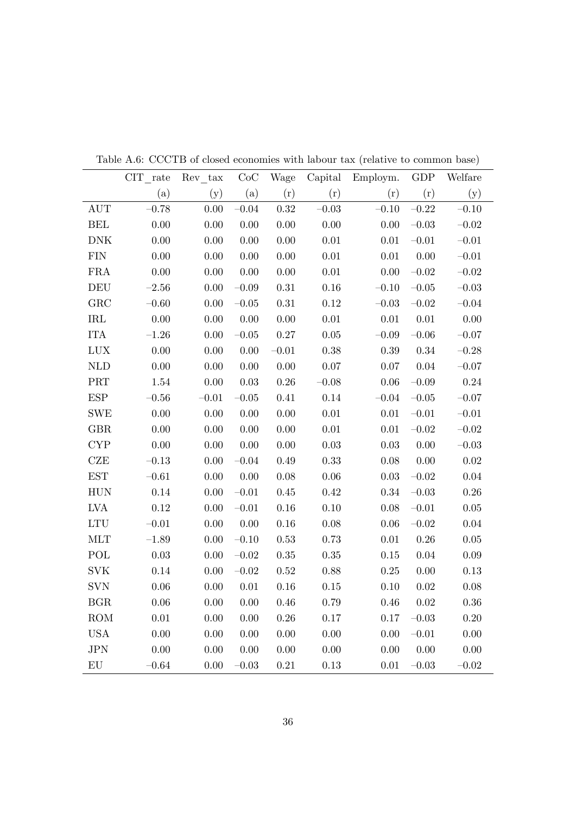|                             | $\text{CIT}_{\_\_rate}$ | $Rev\_tax$ | CoC       | Wage     | Capital  | Employm.  | <b>GDP</b> | Welfare   |
|-----------------------------|-------------------------|------------|-----------|----------|----------|-----------|------------|-----------|
|                             | (a)                     | (y)        | (a)       | (r)      | (r)      | (r)       | (r)        | (y)       |
| <b>AUT</b>                  | $-0.78$                 | 0.00       | $-0.04$   | 0.32     | $-0.03$  | $-0.10$   | $-0.22$    | $-0.10\,$ |
| <b>BEL</b>                  | $0.00\,$                | $0.00\,$   | $0.00\,$  | $0.00\,$ | 0.00     | $0.00\,$  | $-0.03\,$  | $-0.02\,$ |
| $\rm{DNK}$                  | 0.00                    | $0.00\,$   | 0.00      | 0.00     | $0.01\,$ | $0.01\,$  | $-0.01\,$  | $-0.01\,$ |
| ${\rm FIN}$                 | $0.00\,$                | $0.00\,$   | 0.00      | $0.00\,$ | $0.01\,$ | $0.01\,$  | $0.00\,$   | $-0.01\,$ |
| ${\rm FRA}$                 | $0.00\,$                | 0.00       | $0.00\,$  | $0.00\,$ | $0.01\,$ | $0.00\,$  | $-0.02\,$  | $-0.02\,$ |
| <b>DEU</b>                  | $-2.56$                 | 0.00       | $-0.09$   | $0.31\,$ | $0.16\,$ | $-0.10$   | $-0.05\,$  | $-0.03$   |
| GRC                         | $-0.60$                 | 0.00       | $-0.05$   | $0.31\,$ | $0.12\,$ | $-0.03\,$ | $-0.02\,$  | $-0.04$   |
| $\operatorname{IRL}$        | $0.00\,$                | 0.00       | 0.00      | $0.00\,$ | $0.01\,$ | $0.01\,$  | $0.01\,$   | $0.00\,$  |
| <b>ITA</b>                  | $-1.26$                 | 0.00       | $-0.05$   | $0.27\,$ | 0.05     | $-0.09$   | $-0.06\,$  | $-0.07$   |
| LUX                         | $0.00\,$                | $0.00\,$   | 0.00      | $-0.01$  | 0.38     | $0.39\,$  | $0.34\,$   | $-0.28$   |
| <b>NLD</b>                  | 0.00                    | 0.00       | 0.00      | 0.00     | 0.07     | $0.07\,$  | 0.04       | $-0.07$   |
| $\ensuremath{\mathsf{PRT}}$ | 1.54                    | 0.00       | 0.03      | $0.26\,$ | $-0.08$  | $0.06\,$  | $-0.09$    | 0.24      |
| $\ensuremath{\mathrm{ESP}}$ | $-0.56$                 | $-0.01\,$  | $-0.05\,$ | 0.41     | $0.14\,$ | $-0.04$   | $-0.05\,$  | $-0.07$   |
| <b>SWE</b>                  | $0.00\,$                | $0.00\,$   | 0.00      | $0.00\,$ | 0.01     | $0.01\,$  | $-0.01\,$  | $-0.01$   |
| GBR                         | 0.00                    | 0.00       | $0.00\,$  | $0.00\,$ | $0.01\,$ | $0.01\,$  | $-0.02$    | $-0.02$   |
| $\ensuremath{\mathrm{CYP}}$ | $0.00\,$                | 0.00       | $0.00\,$  | 0.00     | $0.03\,$ | $0.03\,$  | $0.00\,$   | $-0.03\,$ |
| <b>CZE</b>                  | $-0.13$                 | 0.00       | $-0.04$   | 0.49     | 0.33     | $0.08\,$  | $0.00\,$   | $0.02\,$  |
| $\operatorname{EST}$        | $-0.61\,$               | $0.00\,$   | $0.00\,$  | $0.08\,$ | $0.06\,$ | $0.03\,$  | $-0.02$    | 0.04      |
| ${\rm HUN}$                 | $0.14\,$                | $0.00\,$   | $-0.01\,$ | $0.45\,$ | 0.42     | $0.34\,$  | $-0.03\,$  | 0.26      |
| LVA                         | $0.12\,$                | 0.00       | $-0.01$   | $0.16\,$ | 0.10     | $0.08\,$  | $-0.01\,$  | $0.05\,$  |
| $\mathop{\rm LTU}\nolimits$ | $-0.01\,$               | $0.00\,$   | 0.00      | $0.16\,$ | 0.08     | $0.06\,$  | $-0.02\,$  | 0.04      |
| MLT                         | $-1.89$                 | 0.00       | $-0.10$   | $0.53\,$ | 0.73     | $0.01\,$  | $0.26\,$   | 0.05      |
| POL                         | $0.03\,$                | 0.00       | $-0.02$   | $0.35\,$ | $0.35\,$ | $0.15\,$  | $0.04\,$   | 0.09      |
| $\rm SVK$                   | 0.14                    | 0.00       | $-0.02$   | $0.52\,$ | 0.88     | $0.25\,$  | 0.00       | 0.13      |
| <b>SVN</b>                  | $0.06\,$                | $0.00\,$   | $0.01\,$  | $0.16\,$ | $0.15\,$ | 0.10      | 0.02       | 0.08      |
| BGR                         | $0.06\,$                | 0.00       | $0.00\,$  | $0.46\,$ | 0.79     | $0.46\,$  | $0.02\,$   | 0.36      |
| ROM                         | $0.01\,$                | 0.00       | 0.00      | 0.26     | 0.17     | $0.17\,$  | $-0.03$    | 0.20      |
| <b>USA</b>                  | $0.00\,$                | $0.00\,$   | 0.00      | 0.00     | 0.00     | 0.00      | $-0.01$    | 0.00      |
| JPN                         | $0.00\,$                | $0.00\,$   | $0.00\,$  | $0.00\,$ | $0.00\,$ | $0.00\,$  | $0.00\,$   | $0.00\,$  |
| ${\rm EU}$                  | $-0.64$                 | $0.00\,$   | $-0.03$   | $0.21\,$ | $0.13\,$ | $0.01\,$  | $-0.03\,$  | $-0.02$   |

Table A.6: CCCTB of closed economies with labour tax (relative to common base)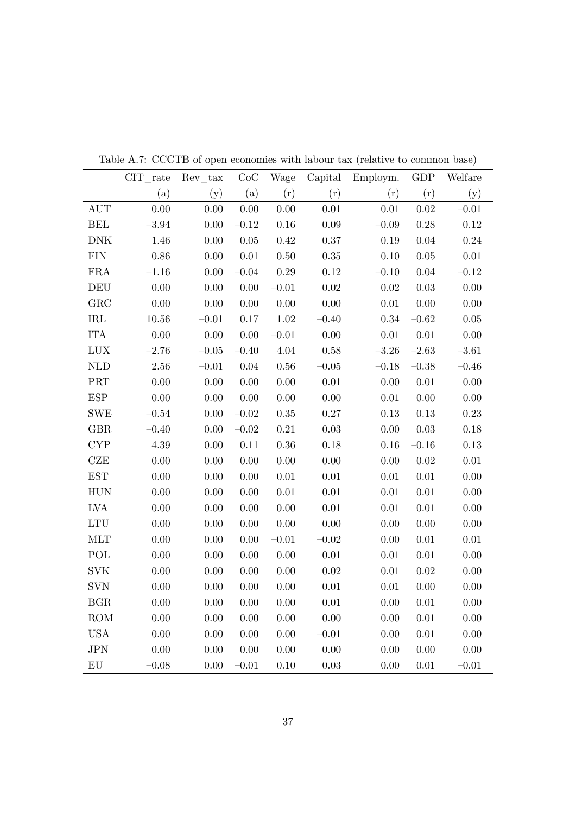|                             | CIT rate  | Rev tax  | CoC       | Wage     | Capital  | Employm. | <b>GDP</b> | Welfare   |
|-----------------------------|-----------|----------|-----------|----------|----------|----------|------------|-----------|
|                             | (a)       | (y)      | (a)       | (r)      | (r)      | (r)      | (r)        | (y)       |
| <b>AUT</b>                  | 0.00      | 0.00     | 0.00      | 0.00     | 0.01     | $0.01\,$ | $0.02\,$   | $-0.01$   |
| <b>BEL</b>                  | $-3.94$   | 0.00     | $-0.12$   | $0.16\,$ | $0.09\,$ | $-0.09$  | $0.28\,$   | $0.12\,$  |
| <b>DNK</b>                  | 1.46      | 0.00     | $0.05\,$  | 0.42     | 0.37     | $0.19\,$ | 0.04       | $0.24\,$  |
| ${\rm FIN}$                 | $0.86\,$  | 0.00     | $0.01\,$  | $0.50\,$ | $0.35\,$ | $0.10\,$ | 0.05       | $0.01\,$  |
| <b>FRA</b>                  | $-1.16$   | 0.00     | $-0.04$   | 0.29     | 0.12     | $-0.10$  | $0.04\,$   | $-0.12$   |
| DEU                         | $0.00\,$  | 0.00     | 0.00      | $-0.01$  | 0.02     | $0.02\,$ | $0.03\,$   | 0.00      |
| ${\rm GRC}$                 | $0.00\,$  | $0.00\,$ | $0.00\,$  | $0.00\,$ | 0.00     | $0.01\,$ | $0.00\,$   | 0.00      |
| $\operatorname{IRL}$        | $10.56\,$ | $-0.01$  | $0.17\,$  | $1.02\,$ | $-0.40$  | $0.34\,$ | $-0.62\,$  | $0.05\,$  |
| <b>ITA</b>                  | $0.00\,$  | 0.00     | $0.00\,$  | $-0.01$  | 0.00     | $0.01\,$ | $0.01\,$   | $0.00\,$  |
| LUX                         | $-2.76$   | $-0.05$  | $-0.40$   | 4.04     | 0.58     | $-3.26$  | $-2.63$    | $-3.61$   |
| $\mbox{NLD}$                | $2.56\,$  | $-0.01$  | 0.04      | $0.56\,$ | $-0.05$  | $-0.18$  | $-0.38$    | $-0.46$   |
| $\operatorname{PRT}$        | $0.00\,$  | 0.00     | 0.00      | 0.00     | 0.01     | $0.00\,$ | $0.01\,$   | 0.00      |
| $\ensuremath{\mathrm{ESP}}$ | $0.00\,$  | 0.00     | 0.00      | 0.00     | 0.00     | $0.01\,$ | $0.00\,$   | 0.00      |
| <b>SWE</b>                  | $-0.54\,$ | 0.00     | $-0.02$   | 0.35     | 0.27     | $0.13\,$ | $0.13\,$   | $0.23\,$  |
| GBR                         | $-0.40$   | 0.00     | $-0.02\,$ | 0.21     | $0.03\,$ | $0.00\,$ | 0.03       | 0.18      |
| $\ensuremath{\mathrm{CYP}}$ | $4.39\,$  | 0.00     | $0.11\,$  | 0.36     | $0.18\,$ | $0.16\,$ | $-0.16$    | $0.13\,$  |
| CZE                         | $0.00\,$  | 0.00     | $0.00\,$  | 0.00     | 0.00     | $0.00\,$ | $0.02\,$   | $0.01\,$  |
| $\operatorname{EST}$        | $0.00\,$  | 0.00     | $0.00\,$  | $0.01\,$ | $0.01\,$ | $0.01\,$ | $0.01\,$   | $0.00\,$  |
| <b>HUN</b>                  | $0.00\,$  | 0.00     | 0.00      | $0.01\,$ | $0.01\,$ | $0.01\,$ | $0.01\,$   | $0.00\,$  |
| LVA                         | $0.00\,$  | 0.00     | $0.00\,$  | $0.00\,$ | $0.01\,$ | $0.01\,$ | $0.01\,$   | $0.00\,$  |
| LTU                         | 0.00      | 0.00     | 0.00      | 0.00     | 0.00     | $0.00\,$ | 0.00       | 0.00      |
| <b>MLT</b>                  | 0.00      | 0.00     | 0.00      | $-0.01$  | $-0.02$  | 0.00     | $0.01\,$   | $0.01\,$  |
| POL                         | $0.00\,$  | 0.00     | 0.00      | 0.00     | $0.01\,$ | $0.01\,$ | $0.01\,$   | 0.00      |
| <b>SVK</b>                  | $0.00\,$  | 0.00     | 0.00      | $0.00\,$ | $0.02\,$ | $0.01\,$ | $0.02\,$   | $0.00\,$  |
| <b>SVN</b>                  | $0.00\,$  | 0.00     | 0.00      | 0.00     | $0.01\,$ | 0.01     | $0.00\,$   | 0.00      |
| <b>BGR</b>                  | $0.00\,$  | 0.00     | $0.00\,$  | $0.00\,$ | 0.01     | $0.00\,$ | $0.01\,$   | $0.00\,$  |
| <b>ROM</b>                  | 0.00      | 0.00     | 0.00      | 0.00     | 0.00     | $0.00\,$ | $0.01\,$   | 0.00      |
| $_{\mathrm{USA}}$           | $0.00\,$  | $0.00\,$ | $0.00\,$  | $0.00\,$ | $-0.01$  | $0.00\,$ | $0.01\,$   | $0.00\,$  |
| JPN                         | $0.00\,$  | 0.00     | $0.00\,$  | $0.00\,$ | $0.00\,$ | $0.00\,$ | $0.00\,$   | $0.00\,$  |
| ${\rm EU}$                  | $-0.08$   | 0.00     | $-0.01$   | 0.10     | 0.03     | 0.00     | $0.01\,$   | $-0.01\,$ |

Table A.7: CCCTB of open economies with labour tax (relative to common base)